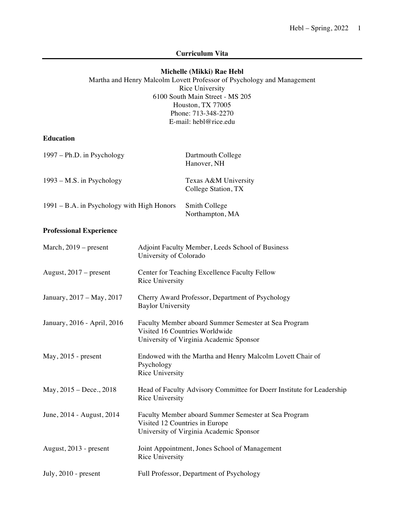### **Curriculum Vita**

### **Michelle (Mikki) Rae Hebl**

 Martha and Henry Malcolm Lovett Professor of Psychology and Management 6100 South Main Street - MS 205 Houston, TX 77005 Rice University Phone: 713-348-2270 E-mail: [hebl@rice.edu](mailto:hebl@rice.edu)

**Education** 

| 1997 – Ph.D. in Psychology                 | Dartmouth College<br>Hanover, NH            |
|--------------------------------------------|---------------------------------------------|
| 1993 – M.S. in Psychology                  | Texas A&M University<br>College Station, TX |
| 1991 – B.A. in Psychology with High Honors | Smith College<br>Northampton, MA            |

# **Professional Experience**

| March, $2019$ – present     | Adjoint Faculty Member, Leeds School of Business<br>University of Colorado                                                        |
|-----------------------------|-----------------------------------------------------------------------------------------------------------------------------------|
| August, $2017$ – present    | Center for Teaching Excellence Faculty Fellow<br>Rice University                                                                  |
| January, 2017 - May, 2017   | Cherry Award Professor, Department of Psychology<br><b>Baylor University</b>                                                      |
| January, 2016 - April, 2016 | Faculty Member aboard Summer Semester at Sea Program<br>Visited 16 Countries Worldwide<br>University of Virginia Academic Sponsor |
| $May, 2015$ - present       | Endowed with the Martha and Henry Malcolm Lovett Chair of<br>Psychology<br>Rice University                                        |
| May, $2015 - Dece., 2018$   | Head of Faculty Advisory Committee for Doerr Institute for Leadership<br>Rice University                                          |
| June, 2014 - August, 2014   | Faculty Member aboard Summer Semester at Sea Program<br>Visited 12 Countries in Europe<br>University of Virginia Academic Sponsor |
| August, 2013 - present      | Joint Appointment, Jones School of Management<br>Rice University                                                                  |
| July, $2010$ - present      | Full Professor, Department of Psychology                                                                                          |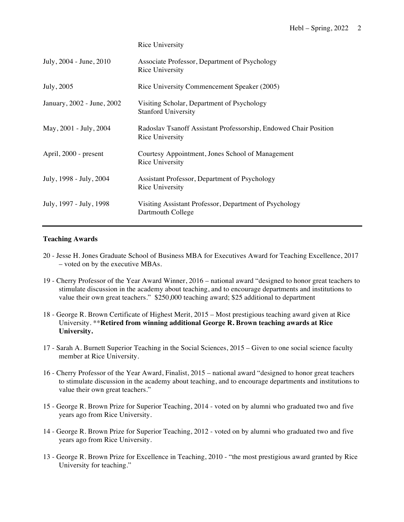| Rice University |  |
|-----------------|--|
|                 |  |

| July, 2004 - June, 2010    | Associate Professor, Department of Psychology<br>Rice University                    |
|----------------------------|-------------------------------------------------------------------------------------|
| July, 2005                 | Rice University Commencement Speaker (2005)                                         |
| January, 2002 - June, 2002 | Visiting Scholar, Department of Psychology<br><b>Stanford University</b>            |
| May, 2001 - July, 2004     | Radoslav Tsanoff Assistant Professorship, Endowed Chair Position<br>Rice University |
| April, 2000 - present      | Courtesy Appointment, Jones School of Management<br>Rice University                 |
| July, 1998 - July, 2004    | Assistant Professor, Department of Psychology<br>Rice University                    |
| July, 1997 - July, 1998    | Visiting Assistant Professor, Department of Psychology<br>Dartmouth College         |

### **Teaching Awards**

- 20 Jesse H. Jones Graduate School of Business MBA for Executives Award for Teaching Excellence, 2017 – voted on by the executive MBAs.
- 19 Cherry Professor of the Year Award Winner, 2016 national award "designed to honor great teachers to stimulate discussion in the academy about teaching, and to encourage departments and institutions to value their own great teachers." \$250,000 teaching award; \$25 additional to department
- 18 George R. Brown Certificate of Highest Merit, 2015 Most prestigious teaching award given at Rice  University. \*\***Retired from winning additional George R. Brown teaching awards at Rice University.**
- 17 Sarah A. Burnett Superior Teaching in the Social Sciences, 2015 Given to one social science faculty member at Rice University.
- 16 Cherry Professor of the Year Award, Finalist, 2015 national award "designed to honor great teachers value their own great teachers." to stimulate discussion in the academy about teaching, and to encourage departments and institutions to
- 15 George R. Brown Prize for Superior Teaching, 2014 voted on by alumni who graduated two and five years ago from Rice University.
- 14 George R. Brown Prize for Superior Teaching, 2012 voted on by alumni who graduated two and five years ago from Rice University.
- 13 George R. Brown Prize for Excellence in Teaching, 2010 "the most prestigious award granted by Rice University for teaching."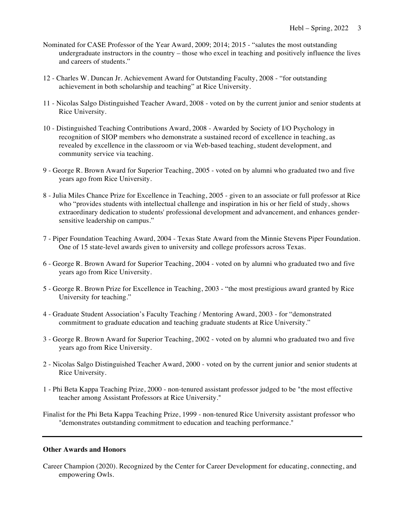- Nominated for CASE Professor of the Year Award, 2009; 2014; 2015 "salutes the most outstanding undergraduate instructors in the country – those who excel in teaching and positively influence the lives and careers of students."
- 12 Charles W. Duncan Jr. Achievement Award for Outstanding Faculty, 2008 "for outstanding achievement in both scholarship and teaching" at Rice University.
- 11 Nicolas Salgo Distinguished Teacher Award, 2008 voted on by the current junior and senior students at Rice University.
- 10 Distinguished Teaching Contributions Award, 2008 Awarded by Society of I/O Psychology in recognition of SIOP members who demonstrate a sustained record of excellence in teaching, as revealed by excellence in the classroom or via Web-based teaching, student development, and community service via teaching.
- 9 George R. Brown Award for Superior Teaching, 2005 voted on by alumni who graduated two and five years ago from Rice University.
- 8 Julia Miles Chance Prize for Excellence in Teaching, 2005 given to an associate or full professor at Rice who "provides students with intellectual challenge and inspiration in his or her field of study, shows sensitive leadership on campus." extraordinary dedication to students' professional development and advancement, and enhances gender-
- 7 Piper Foundation Teaching Award, 2004 Texas State Award from the Minnie Stevens Piper Foundation. One of 15 state-level awards given to university and college professors across Texas.
- 6 George R. Brown Award for Superior Teaching, 2004 voted on by alumni who graduated two and five years ago from Rice University.
- 5 George R. Brown Prize for Excellence in Teaching, 2003 "the most prestigious award granted by Rice University for teaching."
- 4 Graduate Student Association's Faculty Teaching / Mentoring Award, 2003 for "demonstrated commitment to graduate education and teaching graduate students at Rice University."
- 3 George R. Brown Award for Superior Teaching, 2002 voted on by alumni who graduated two and five years ago from Rice University.
- 2 Nicolas Salgo Distinguished Teacher Award, 2000 voted on by the current junior and senior students at Rice University.
- 1 Phi Beta Kappa Teaching Prize, 2000 non-tenured assistant professor judged to be "the most effective teacher among Assistant Professors at Rice University."
- Finalist for the Phi Beta Kappa Teaching Prize, 1999 non-tenured Rice University assistant professor who "demonstrates outstanding commitment to education and teaching performance."

### **Other Awards and Honors**

 Career Champion (2020). Recognized by the Center for Career Development for educating, connecting, and empowering Owls.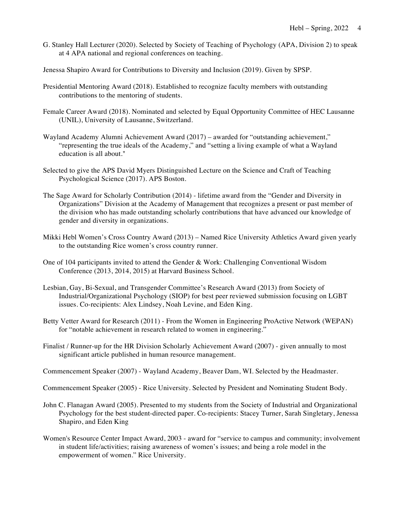G. Stanley Hall Lecturer (2020). Selected by Society of Teaching of Psychology (APA, Division 2) to speak at 4 APA national and regional conferences on teaching.

Jenessa Shapiro Award for Contributions to Diversity and Inclusion (2019). Given by SPSP.

- Presidential Mentoring Award (2018). Established to recognize faculty members with outstanding contributions to the mentoring of students.
- Female Career Award (2018). Nominated and selected by Equal Opportunity Committee of HEC Lausanne (UNIL), University of Lausanne, Switzerland.
- Wayland Academy Alumni Achievement Award (2017) awarded for "outstanding achievement," "representing the true ideals of the Academy," and "setting a living example of what a Wayland education is all about."
- Selected to give the APS David Myers Distinguished Lecture on the Science and Craft of Teaching Psychological Science (2017). APS Boston.
- The Sage Award for Scholarly Contribution (2014) lifetime award from the "Gender and Diversity in Organizations" Division at the Academy of Management that recognizes a present or past member of the division who has made outstanding scholarly contributions that have advanced our knowledge of gender and diversity in organizations.
- Mikki Hebl Women's Cross Country Award (2013) Named Rice University Athletics Award given yearly to the outstanding Rice women's cross country runner.
- One of 104 participants invited to attend the Gender & Work: Challenging Conventional Wisdom Conference (2013, 2014, 2015) at Harvard Business School.
- Lesbian, Gay, Bi-Sexual, and Transgender Committee's Research Award (2013) from Society of Industrial/Organizational Psychology (SIOP) for best peer reviewed submission focusing on LGBT issues. Co-recipients: Alex Lindsey, Noah Levine, and Eden King.
- Betty Vetter Award for Research (2011) From the Women in Engineering ProActive Network (WEPAN) for "notable achievement in research related to women in engineering."
- Finalist / Runner-up for the HR Division Scholarly Achievement Award (2007) given annually to most significant article published in human resource management.
- Commencement Speaker (2007) Wayland Academy, Beaver Dam, WI. Selected by the Headmaster.
- Commencement Speaker (2005) Rice University. Selected by President and Nominating Student Body.
- John C. Flanagan Award (2005). Presented to my students from the Society of Industrial and Organizational Psychology for the best student-directed paper. Co-recipients: Stacey Turner, Sarah Singletary, Jenessa Shapiro, and Eden King
- Women's Resource Center Impact Award, 2003 award for "service to campus and community; involvement empowerment of women." Rice University. in student life/activities; raising awareness of women's issues; and being a role model in the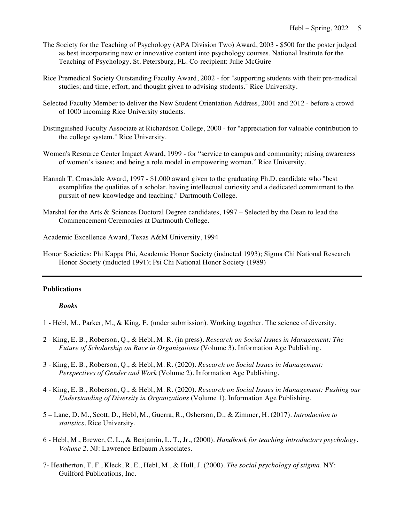- The Society for the Teaching of Psychology (APA Division Two) Award, 2003 \$500 for the poster judged as best incorporating new or innovative content into psychology courses. National Institute for the Teaching of Psychology. St. Petersburg, FL. Co-recipient: Julie McGuire
- Rice Premedical Society Outstanding Faculty Award, 2002 for "supporting students with their pre-medical studies; and time, effort, and thought given to advising students." Rice University.
- Selected Faculty Member to deliver the New Student Orientation Address, 2001 and 2012 before a crowd of 1000 incoming Rice University students.
- Distinguished Faculty Associate at Richardson College, 2000 for "appreciation for valuable contribution to the college system." Rice University.
- Women's Resource Center Impact Award, 1999 for "service to campus and community; raising awareness of women's issues; and being a role model in empowering women." Rice University.
- Hannah T. Croasdale Award, 1997 \$1,000 award given to the graduating Ph.D. candidate who "best exemplifies the qualities of a scholar, having intellectual curiosity and a dedicated commitment to the pursuit of new knowledge and teaching." Dartmouth College.
- Marshal for the Arts & Sciences Doctoral Degree candidates, 1997 Selected by the Dean to lead the Commencement Ceremonies at Dartmouth College.

Academic Excellence Award, Texas A&M University, 1994

 Honor Societies: Phi Kappa Phi, Academic Honor Society (inducted 1993); Sigma Chi National Research Honor Society (inducted 1991); Psi Chi National Honor Society (1989)

### **Publications**

#### *Books*

- 1 Hebl, M., Parker, M., & King, E. (under submission). Working together. The science of diversity.
- 2 King, E. B., Roberson, Q., & Hebl, M. R. (in press). *Research on Social Issues in Management: The Future of Scholarship on Race in Organizations* (Volume 3). Information Age Publishing.
- 3 King, E. B., Roberson, Q., & Hebl, M. R. (2020). *Research on Social Issues in Management: Perspectives of Gender and Work* (Volume 2). Information Age Publishing.
- 4 King, E. B., Roberson, Q., & Hebl, M. R. (2020). *Research on Social Issues in Management: Pushing our Understanding of Diversity in Organizations* (Volume 1). Information Age Publishing.
- 5 Lane, D. M., Scott, D., Hebl, M., Guerra, R., Osherson, D., & Zimmer, H. (2017). *Introduction to statistics.* Rice University.
- 6 Hebl, M., Brewer, C. L., & Benjamin, L. T., Jr., (2000). *Handbook for teaching introductory psychology. Volume 2*. NJ: Lawrence Erlbaum Associates.
- 7- Heatherton, T. F., Kleck, R. E., Hebl, M., & Hull, J. (2000). *The social psychology of stigma*. NY: Guilford Publications, Inc.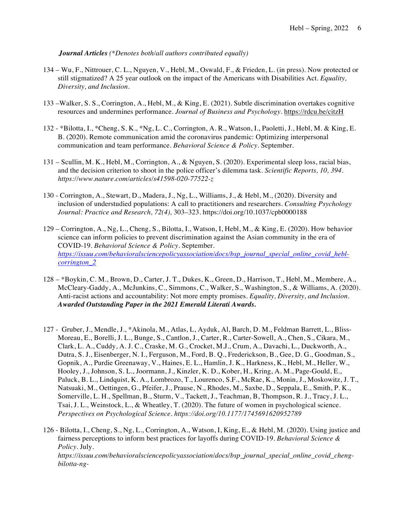*Journal Articles (\*Denotes both/all authors contributed equally)* 

- 134 Wu, F., Nittrouer, C. L., Nguyen, V., Hebl, M., Oswald, F., & Frieden, L. (in press). Now protected or still stigmatized? A 25 year outlook on the impact of the Americans with Disabilities Act. *Equality, Diversity, and Inclusion.*
- 133 –Walker, S. S., Corrington, A., Hebl, M., & King, E. (2021). Subtle discrimination overtakes cognitive resources and undermines performance. *Journal of Business and Psychology.* <https://rdcu.be/citzH>
- 132 \*Bilotta, I., \*Cheng, S. K., \*Ng, L. C., Corrington, A. R., Watson, I., Paoletti, J., Hebl, M. & King, E. B. (2020). Remote communication amid the coronavirus pandemic: Optimizing interpersonal communication and team performance. *Behavioral Science & Policy.* September.
- 131 Scullin, M. K., Hebl, M., Corrington, A., & Nguyen, S. (2020). Experimental sleep loss, racial bias, and the decision criterion to shoot in the police officer's dilemma task. *Scientific Reports, 10, 394. <https://www.nature.com/articles/s41598-020-77522-z>*
- 130 Corrington, A., Stewart, D., Madera, J., Ng, L., Williams, J., & Hebl, M., (2020). Diversity and  inclusion of understudied populations: A call to practitioners and researchers. *Consulting Psychology Journal: Practice and Research, 72(4),* 303–323.<https://doi.org/10.1037/cpb0000188>
- 129 Corrington, A., Ng, L., Cheng, S., Bilotta, I., Watson, I, Hebl, M., & King, E. (2020). How behavior science can inform policies to prevent discrimination against the Asian community in the era of  COVID-19. *Behavioral Science & Policy.* September. *[https://issuu.com/behavioralsciencepolicyassociation/docs/bsp\\_journal\\_special\\_online\\_covid\\_hebl](https://issuu.com/behavioralsciencepolicyassociation/docs/bsp_journal_special_online_covid_hebl)corrington\_2*
- 128 \*Boykin, C. M., Brown, D., Carter, J. T., Dukes, K., Green, D., Harrison, T., Hebl, M., Membere, A., McCleary-Gaddy, A., McJunkins, C., Simmons, C., Walker, S., Washington, S., & Williams, A. (2020). Anti-racist actions and accountability: Not more empty promises. *Equality, Diversity, and Inclusion. Awarded Outstanding Paper in the 2021 Emerald Literati Awards.*
- 127 Gruber, J., Mendle, J., \*Akinola, M., Atlas, L, Ayduk, Al, Barch, D. M., Feldman Barrett, L., Bliss- Moreau, E., Borelli, J. L., Bunge, S., Cantlon, J., Carter, R., Carter-Sowell, A., Chen, S., Cikara, M., Clark, L. A., Cuddy, A. J. C., Craske, M. G., Crocket, M.J., Crum, A., Davachi, L., Duckworth, A., Dutra, S. J., Eisenberger, N. I., Ferguson, M., Ford, B. Q., Frederickson, B., Gee, D. G., Goodman, S., Gopnik, A., Purdie Greenaway, V., Haines, E. L., Hamlin, J. K., Harkness, K., Hebl, M., Heller, W., Hooley, J., Johnson, S. L., Joormann, J., Kinzler, K. D., Kober, H., Kring, A. M., Page-Gould, E., Paluck, B. L., Lindquist, K. A., Lombrozo, T., Lourenco, S.F., McRae, K., Monin, J., Moskowitz, J. T., Natsuaki, M., Oettingen, G., Pfeifer, J., Prause, N., Rhodes, M., Saxbe, D., Seppala, E., Smith, P. K., Somerville, L. H., Spellman, B., Sturm, V., Tackett, J., Teachman, B, Thompson, R. J., Tracy, J. L., Tsai, J. L., Weinstock, L., & Wheatley, T. (2020). The future of women in psychological science. *Perspectives on Psychological Science. <https://doi.org/10.1177/1745691620952789>*
- 126 Bilotta, I., Cheng, S., Ng, L., Corrington, A., Watson, I, King, E., & Hebl, M. (2020). Using justice and fairness perceptions to inform best practices for layoffs during COVID-19. *Behavioral Science & Policy*. July*. [https://issuu.com/behavioralsciencepolicyassociation/docs/bsp\\_journal\\_special\\_online\\_covid\\_cheng](https://issuu.com/behavioralsciencepolicyassociation/docs/bsp_journal_special_online_covid_cheng)bilotta-ng-*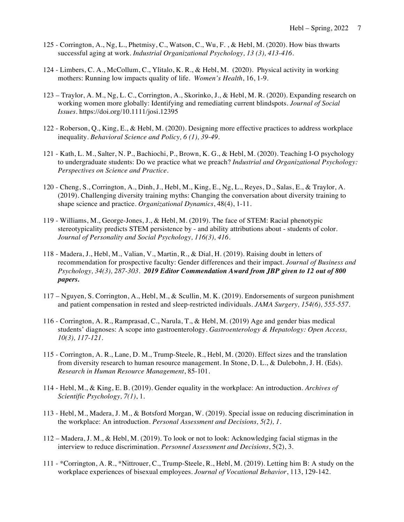- 125 Corrington, A., Ng, L., Phetmisy, C., Watson, C., Wu, F. , & Hebl, M. (2020). How bias thwarts successful aging at work. *Industrial Organizational Psychology, 13 (3), 413-416*.
- 124 Limbers, C. A., McCollum, C., Ylitalo, K. R., & Hebl, M. (2020). Physical activity in working mothers: Running low impacts quality of life. *Women's Health*, 16, 1-9.
- 123 Traylor, A. M., Ng, L. C., Corrington, A., Skorinko, J., & Hebl, M. R. (2020). Expanding research on working women more globally: Identifying and remediating current blindspots. *Journal of Social Issues*.<https://doi.org/10.1111/josi.12395>
- 122 Roberson, Q., King, E., & Hebl, M. (2020). Designing more effective practices to address workplace  inequality. *Behavioral Science and Policy, 6 (1), 39-49.*
- 121 Kath, L. M., Salter, N. P., Bachiochi, P., Brown, K. G., & Hebl, M. (2020). Teaching I-O psychology  to undergraduate students: Do we practice what we preach? *Industrial and Organizational Psychology: Perspectives on Science and Practice.*
- 120 Cheng, S., Corrington, A., Dinh, J., Hebl, M., King, E., Ng, L., Reyes, D., Salas, E., & Traylor, A. (2019). Challenging diversity training myths: Changing the conversation about diversity training to shape science and practice. *Organizational Dynamics*, 48(4), 1-11.
- 119 Williams, M., George-Jones, J., & Hebl, M. (2019). The face of STEM: Racial phenotypic stereotypicality predicts STEM persistence by - and ability attributions about - students of color.  *Journal of Personality and Social Psychology, 116(3), 416.*
- 118 Madera, J., Hebl, M., Valian, V., Martin, R., & Dial, H. (2019). Raising doubt in letters of recommendation for prospective faculty: Gender differences and their impact. *Journal of Business and Psychology, 34(3), 287-303. 2019 Editor Commendation Award from JBP given to 12 out of 800 papers.*
- 117 Nguyen, S. Corrington, A., Hebl, M., & Scullin, M. K. (2019). Endorsements of surgeon punishment and patient compensation in rested and sleep-restricted individuals. *JAMA Surgery, 154(6), 555-557.*
- 116 Corrington, A. R., Ramprasad, C., Narula, T., & Hebl, M. (2019) Age and gender bias medical students' diagnoses: A scope into gastroenterology. *Gastroenterology & Hepatology: Open Access, 10(3), 117-121.*
- 115 Corrington, A. R., Lane, D. M., Trump-Steele, R., Hebl, M. (2020). Effect sizes and the translation from diversity research to human resource management. In Stone, D. L., & Dulebohn, J. H. (Eds).  *Research in Human Resource Management*, 85-101.
- 114 Hebl, M., & King, E. B. (2019). Gender equality in the workplace: An introduction. *Archives of Scientific Psychology, 7(1)*, 1.
- 113 Hebl, M., Madera, J. M., & Botsford Morgan, W. (2019). Special issue on reducing discrimination in  the workplace: An introduction. *Personal Assessment and Decisions, 5(2), 1.*
- 112 Madera, J. M., & Hebl, M. (2019). To look or not to look: Acknowledging facial stigmas in the  interview to reduce discrimination. *Personnel Assessment and Decisions*, 5(2), 3.
- 111 \*Corrington, A. R., \*Nittrouer, C., Trump-Steele, R., Hebl, M. (2019). Letting him B: A study on the workplace experiences of bisexual employees. *Journal of Vocational Behavior*, 113, 129-142.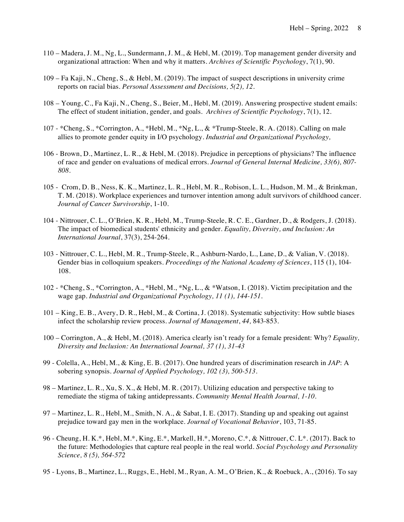- 110 Madera, J. M., Ng, L., Sundermann, J. M., & Hebl, M. (2019). Top management gender diversity and organizational attraction: When and why it matters. *Archives of Scientific Psychology*, 7(1), 90.
- 109 Fa Kaji, N., Cheng, S., & Hebl, M. (2019). The impact of suspect descriptions in university crime reports on racial bias. *Personal Assessment and Decisions, 5(2), 12.*
- 108 Young, C., Fa Kaji, N., Cheng, S., Beier, M., Hebl, M. (2019). Answering prospective student emails: The effect of student initiation, gender, and goals. *Archives of Scientific Psychology*, 7(1), 12.
- 107 \*Cheng, S., \*Corrington, A., \*Hebl, M., \*Ng, L., & \*Trump-Steele, R. A. (2018). Calling on male allies to promote gender equity in I/O psychology*. Industrial and Organizational Psychology,*
- 106 Brown, D., Martinez, L. R., & Hebl, M. (2018). Prejudice in perceptions of physicians? The influence of race and gender on evaluations of medical errors. *Journal of General Internal Medicine, 33(6), 807- 808.*
- 105 Crom, D. B., Ness, K. K., Martinez, L. R., Hebl, M. R., Robison, L. L., Hudson, M. M., & Brinkman, T. M. (2018). Workplace experiences and turnover intention among adult survivors of childhood cancer.  *Journal of Cancer Survivorship*, 1-10.
- 104 Nittrouer, C. L., O'Brien, K. R., Hebl, M., Trump-Steele, R. C. E., Gardner, D., & Rodgers, J. (2018). The impact of biomedical students' ethnicity and gender. *Equality, Diversity, and Inclusion: An International Journal*, 37(3), 254-264.
- 103 Nittrouer, C. L., Hebl, M. R., Trump-Steele, R., Ashburn-Nardo, L., Lane, D., & Valian, V. (2018). Gender bias in colloquium speakers. *Proceedings of the National Academy of Sciences*, 115 (1), 104- 108.
- 102 \*Cheng, S., \*Corrington, A., \*Hebl, M., \*Ng, L., & \*Watson, I. (2018). Victim precipitation and the  wage gap*. Industrial and Organizational Psychology, 11 (1), 144-151.*
- 101 King, E. B., Avery, D. R., Hebl, M., & Cortina, J. (2018). Systematic subjectivity: How subtle biases  infect the scholarship review process. *Journal of Management*, *44,* 843-853.
- 100 Corrington, A., & Hebl, M. (2018). America clearly isn't ready for a female president: Why? *Equality, Diversity and Inclusion: An International Journal, 37 (1), 31-43*
- 99 Colella, A., Hebl, M., & King, E. B. (2017). One hundred years of discrimination research in *JAP*: A  sobering synopsis. *Journal of Applied Psychology, 102 (3), 500-513.*
- 98 Martinez, L. R., Xu, S. X., & Hebl, M. R. (2017). Utilizing education and perspective taking to remediate the stigma of taking antidepressants. *Community Mental Health Journal, 1-10.*
- 97 Martinez, L. R., Hebl, M., Smith, N. A., & Sabat, I. E. (2017). Standing up and speaking out against  prejudice toward gay men in the workplace. *Journal of Vocational Behavior*, 103, 71-85.
- 96 Cheung, H. K.\*, Hebl, M.\*, King, E.\*, Markell, H.\*, Moreno, C.\*, & Nittrouer, C. L\*. (2017). Back to  the future: Methodologies that capture real people in the real world. *Social Psychology and Personality Science, 8 (5), 564-572*
- 95 Lyons, B., Martinez, L., Ruggs, E., Hebl, M., Ryan, A. M., O'Brien, K., & Roebuck, A., (2016). To say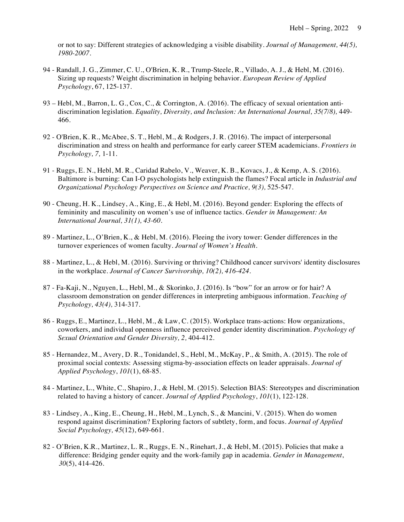or not to say: Different strategies of acknowledging a visible disability. *Journal of Management, 44(5), 1980-2007.* 

- 94 Randall, J. G., Zimmer, C. U., O'Brien, K. R., Trump-Steele, R., Villado, A. J., & Hebl, M. (2016). Sizing up requests? Weight discrimination in helping behavior. *European Review of Applied Psychology*, 67, 125-137.
- 93 Hebl, M., Barron, L. G., Cox, C., & Corrington, A. (2016). The efficacy of sexual orientation anti- discrimination legislation. *Equality, Diversity, and Inclusion: An International Journal, 35(7/8),* 449- 466*.*
- 92 O'Brien, K. R., McAbee, S. T., Hebl, M., & Rodgers, J. R. (2016). The impact of interpersonal discrimination and stress on health and performance for early career STEM academicians. *Frontiers in Psychology, 7,* 1-11*.*
- 91 Ruggs, E. N., Hebl, M. R., Caridad Rabelo, V., Weaver, K. B., Kovacs, J., & Kemp, A. S. (2016). Baltimore is burning: Can I-O psychologists help extinguish the flames? Focal article in *Industrial and Organizational Psychology Perspectives on Science and Practice, 9(3),* 525-547.
- 90 Cheung, H. K., Lindsey, A., King, E., & Hebl, M. (2016). Beyond gender: Exploring the effects of femininity and masculinity on women's use of influence tactics. *Gender in Management: An International Journal, 31(1), 43-60.*
- 89 Martinez, L., O'Brien, K., & Hebl, M. (2016). Fleeing the ivory tower: Gender differences in the  turnover experiences of women faculty. *Journal of Women's Health*.
- 88 Martinez, L., & Hebl, M. (2016). Surviving or thriving? Childhood cancer survivors' identity disclosures in the workplace. *Journal of Cancer Survivorship, 10(2), 416-424.*
- 87 Fa-Kaji, N., Nguyen, L., Hebl, M., & Skorinko, J. (2016). Is "bow" for an arrow or for hair? A classroom demonstration on gender differences in interpreting ambiguous information. *Teaching of Psychology, 43(4),* 314-317.
- 86 Ruggs, E., Martinez, L., Hebl, M., & Law, C. (2015). Workplace trans-actions: How organizations, coworkers, and individual openness influence perceived gender identity discrimination. *Psychology of Sexual Orientation and Gender Diversity, 2,* 404-412.
- 85 Hernandez, M., Avery, D. R., Tonidandel, S., Hebl, M., McKay, P., & Smith, A. (2015). The role of proximal social contexts: Assessing stigma-by-association effects on leader appraisals. *Journal of Applied Psychology*, *101*(1), 68-85.
- 84 Martinez, L., White, C., Shapiro, J., & Hebl, M. (2015). Selection BIAS: Stereotypes and discrimination related to having a history of cancer*. Journal of Applied Psychology*, *101*(1), 122-128.
- 83 Lindsey, A., King, E., Cheung, H., Hebl, M., Lynch, S., & Mancini, V. (2015). When do women respond against discrimination? Exploring factors of subtlety, form, and focus. *Journal of Applied Social Psychology, 45*(12), 649-661*.*
- 82 O'Brien, K.R., Martinez, L. R., Ruggs, E. N., Rinehart, J., & Hebl, M. (2015). Policies that make a difference: Bridging gender equity and the work-family gap in academia. *Gender in Management*, *30*(5), 414-426.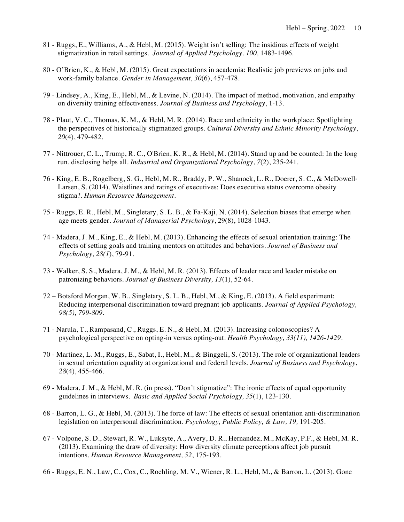- 81 Ruggs, E., Williams, A., & Hebl, M. (2015). Weight isn't selling: The insidious effects of weight  stigmatization in retail settings. *Journal of Applied Psychology*. *100,* 1483-1496.
- 80 O'Brien, K., & Hebl, M. (2015). Great expectations in academia: Realistic job previews on jobs and work-family balance. *Gender in Management, 30*(6), 457-478*.*
- 79 Lindsey, A., King, E., Hebl, M., & Levine, N. (2014). The impact of method, motivation, and empathy  on diversity training effectiveness. *Journal of Business and Psychology*, 1-13.
- 78 Plaut, V. C., Thomas, K. M., & Hebl, M. R. (2014). Race and ethnicity in the workplace: Spotlighting  the perspectives of historically stigmatized groups. *Cultural Diversity and Ethnic Minority Psychology*, *20*(4), 479-482.
- 77 Nittrouer, C. L., Trump, R. C., O'Brien, K. R., & Hebl, M. (2014). Stand up and be counted: In the long run, disclosing helps all. *Industrial and Organizational Psychology*, *7*(2), 235-241.
- 76 King, E. B., Rogelberg, S. G., Hebl, M. R., Braddy, P. W., Shanock, L. R., Doerer, S. C., & McDowell‐ Larsen, S. (2014). Waistlines and ratings of executives: Does executive status overcome obesity  stigma?. *Human Resource Management*.
- 75 Ruggs, E. R., Hebl, M., Singletary, S. L. B., & Fa-Kaji, N. (2014). Selection biases that emerge when age meets gender. *Journal of Managerial Psychology*, 29(8), 1028-1043.
- 74 Madera, J. M., King, E., & Hebl, M. (2013). Enhancing the effects of sexual orientation training: The effects of setting goals and training mentors on attitudes and behaviors*. Journal of Business and Psychology, 28(1*), 79-91.
- 73 Walker, S. S., Madera, J. M., & Hebl, M. R. (2013). Effects of leader race and leader mistake on  patronizing behaviors. *Journal of Business Diversity, 13*(1), 52-64.
- 72 Botsford Morgan, W. B., Singletary, S. L. B., Hebl, M., & King, E. (2013). A field experiment: Reducing interpersonal discrimination toward pregnant job applicants. *Journal of Applied Psychology, 98(5), 799-809.*
- 71 Narula, T., Rampasand, C., Ruggs, E. N., & Hebl, M. (2013). Increasing colonoscopies? A psychological perspective on opting-in versus opting-out. *Health Psychology, 33(11), 1426-1429.*
- 70 Martinez, L. M., Ruggs, E., Sabat, I., Hebl, M., & Binggeli, S. (2013). The role of organizational leaders in sexual orientation equality at organizational and federal levels. *Journal of Business and Psychology*, *28*(4), 455-466.
- 69 Madera, J. M., & Hebl, M. R. (in press). "Don't stigmatize": The ironic effects of equal opportunity guidelines in interviews. *Basic and Applied Social Psychology, 35*(1), 123-130*.*
- 68 Barron, L. G., & Hebl, M. (2013). The force of law: The effects of sexual orientation anti-discrimination  legislation on interpersonal discrimination. *Psychology, Public Policy, & Law, 19,* 191-205.
- 67 Volpone, S. D., Stewart, R. W., Luksyte, A., Avery, D. R., Hernandez, M., McKay, P.F., & Hebl, M. R. (2013). Examining the draw of diversity: How diversity climate perceptions affect job pursuit  intentions. *Human Resource Management, 52*, 175-193.
- 66 Ruggs, E. N., Law, C., Cox, C., Roehling, M. V., Wiener, R. L., Hebl, M., & Barron, L. (2013). Gone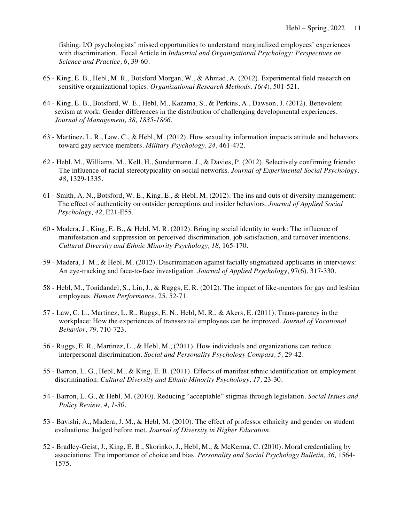with discrimination. Focal Article in *Industrial and Organizational Psychology: Perspectives on*  fishing: I/O psychologists' missed opportunities to understand marginalized employees' experiences *Science and Practice, 6*, 39-60.

- 65 King, E. B., Hebl, M. R., Botsford Morgan, W., & Ahmad, A. (2012). Experimental field research on sensitive organizational topics. *Organizational Research Methods, 16(4*), 501-521.
- 64 King, E. B., Botsford, W. E., Hebl, M., Kazama, S., & Perkins, A., Dawson, J. (2012). Benevolent sexism at work: Gender differences in the distribution of challenging developmental experiences.  *Journal of Management, 38, 1835-1866.*
- 63 Martinez, L. R., Law, C., & Hebl, M. (2012). How sexuality information impacts attitude and behaviors toward gay service members. *Military Psychology, 24*, 461-472.
- 62 Hebl, M., Williams, M., Kell, H., Sundermann, J., & Davies, P. (2012). Selectively confirming friends: The influence of racial stereotypicality on social networks. *Journal of Experimental Social Psychology, 48*, 1329-1335.
- 61 Smith, A. N., Botsford, W. E., King, E., & Hebl, M. (2012). The ins and outs of diversity management: The effect of authenticity on outsider perceptions and insider behaviors. *Journal of Applied Social Psychology, 42,* E21-E55.
- 60 Madera, J., King, E. B., & Hebl, M. R. (2012). Bringing social identity to work: The influence of manifestation and suppression on perceived discrimination, job satisfaction, and turnover intentions.  *Cultural Diversity and Ethnic Minority Psychology, 18,* 165-170.
- 59 Madera, J. M., & Hebl, M. (2012). Discrimination against facially stigmatized applicants in interviews:  An eye-tracking and face-to-face investigation. *Journal of Applied Psychology*, 97(6), 317-330.
- 58 Hebl, M., Tonidandel, S., Lin, J., & Ruggs, E. R. (2012). The impact of like-mentors for gay and lesbian employees. Human Performance, 25, 52-71.
- employees. *Human Performance*, 25, 52-71. 57 Law, C. L., Martinez, L. R., Ruggs, E. N., Hebl, M. R., & Akers, E. (2011). Trans-parency in the workplace: How the experiences of transsexual employees can be improved. *Journal of Vocational Behavior, 79,* 710-723.
- 56 Ruggs, E. R., Martinez, L., & Hebl, M., (2011). How individuals and organizations can reduce  interpersonal discrimination. *Social and Personality Psychology Compass, 5,* 29-42.
- 55 Barron, L. G., Hebl, M., & King, E. B. (2011). Effects of manifest ethnic identification on employment  discrimination. *Cultural Diversity and Ethnic Minority Psychology, 17,* 23-30.
- 54 Barron, L. G., & Hebl, M. (2010). Reducing "acceptable" stigmas through legislation. *Social Issues and Policy Review, 4, 1-30*.
- 53 Bavishi, A., Madera, J. M., & Hebl, M. (2010). The effect of professor ethnicity and gender on student evaluations: Judged before met. *Journal of Diversity in Higher Education.*
- 52 Bradley-Geist, J., King, E. B., Skorinko, J., Hebl, M., & McKenna, C. (2010). Moral credentialing by associations: The importance of choice and bias. *Personality and Social Psychology Bulletin, 36,* 1564- 1575.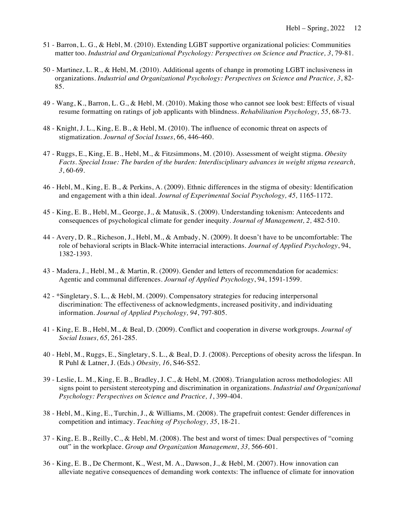- 51 Barron, L. G., & Hebl, M. (2010). Extending LGBT supportive organizational policies: Communities matter too. *Industrial and Organizational Psychology: Perspectives on Science and Practice, 3*, 79-81.
- 50 Martinez, L. R., & Hebl, M. (2010). Additional agents of change in promoting LGBT inclusiveness in  organizations. *Industrial and Organizational Psychology: Perspectives on Science and Practice, 3*, 82- 85.
- 49 Wang, K., Barron, L. G., & Hebl, M. (2010). Making those who cannot see look best: Effects of visual resume formatting on ratings of job applicants with blindness. *Rehabilitation Psychology, 55*, 68-73.
- 48 Knight, J. L., King, E. B., & Hebl, M. (2010). The influence of economic threat on aspects of  stigmatization. *Journal of Social Issues*, 66, 446-460.
- 47 Ruggs, E., King, E. B., Hebl, M., & Fitzsimmons, M. (2010). Assessment of weight stigma. *Obesity Facts. Special Issue: The burden of the burden: Interdisciplinary advances in weight stigma research, 3*, 60-69.
- 46 Hebl, M., King, E. B., & Perkins, A. (2009). Ethnic differences in the stigma of obesity: Identification and engagement with a thin ideal. *Journal of Experimental Social Psychology, 45,* 1165-1172.
- 45 King, E. B., Hebl, M., George, J., & Matusik, S. (2009). Understanding tokenism: Antecedents and consequences of psychological climate for gender inequity. *Journal of Management, 2,* 482-510.
- 44 Avery, D. R., Richeson, J., Hebl, M., & Ambady, N. (2009). It doesn't have to be uncomfortable: The role of behavioral scripts in Black-White interracial interactions. *Journal of Applied Psychology*, 94, 1382-1393.
- 43 Madera, J., Hebl, M., & Martin, R. (2009). Gender and letters of recommendation for academics: Agentic and communal differences. *Journal of Applied Psychology*, 94, 1591-1599.
- 42 \*Singletary, S. L., & Hebl, M. (2009). Compensatory strategies for reducing interpersonal discrimination: The effectiveness of acknowledgments, increased positivity, and individuating  information. *Journal of Applied Psychology, 94*, 797-805.
- 41 King, E. B., Hebl, M., & Beal, D. (2009). Conflict and cooperation in diverse workgroups. *Journal of Social Issues, 65,* 261-285.
- 40 Hebl, M., Ruggs, E., Singletary, S. L., & Beal, D. J. (2008). Perceptions of obesity across the lifespan. In R Puhl & Latner, J. (Eds.) *Obesity, 16*, S46-S52.
- 39 Leslie, L. M., King, E. B., Bradley, J. C., & Hebl, M. (2008). Triangulation across methodologies: All signs point to persistent stereotyping and discrimination in organizations. *Industrial and Organizational Psychology: Perspectives on Science and Practice, 1*, 399-404.
- 38 Hebl, M., King, E., Turchin, J., & Williams, M. (2008). The grapefruit contest: Gender differences in competition and intimacy. *Teaching of Psychology, 35*, 18-21.
- 37 King, E. B., Reilly, C., & Hebl, M. (2008). The best and worst of times: Dual perspectives of "coming out" in the workplace. *Group and Organization Management*, *33,* 566-601.
- 36 King, E. B., De Chermont, K., West, M. A., Dawson, J., & Hebl, M. (2007). How innovation can alleviate negative consequences of demanding work contexts: The influence of climate for innovation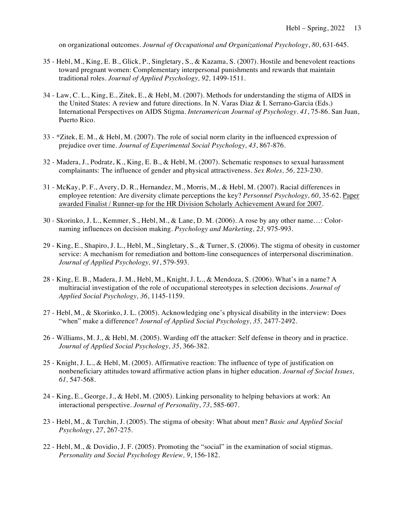on organizational outcomes. *Journal of Occupational and Organizational Psychology*, *80*, 631-645.

- 35 Hebl, M., King, E. B., Glick, P., Singletary, S., & Kazama, S. (2007). Hostile and benevolent reactions traditional roles. *Journal of Applied Psychology*, 92, 1499-1511. toward pregnant women: Complementary interpersonal punishments and rewards that maintain
- traditional roles. *Journal of Applied Psychology*, 92, 1499-1511.<br>34 Law, C. L., King, E., Zitek, E., & Hebl, M. (2007). Methods for understanding the stigma of AIDS in the United States: A review and future directions. In N. Varas Diaz & I. Serrano-Garcia (Eds.) International Perspectives on AIDS Stigma. *Interamerican Journal of Psychology*. *41*, 75-86*.* San Juan, Puerto Rico.
- 33 \*Zitek, E. M., & Hebl, M. (2007). The role of social norm clarity in the influenced expression of prejudice over time. *Journal of Experimental Social Psychology, 43*, 867-876.
- 32 Madera, J., Podratz, K., King, E. B., & Hebl, M. (2007). Schematic responses to sexual harassment complainants: The influence of gender and physical attractiveness. *Sex Roles, 56,* 223-230.
- 31 McKay, P. F., Avery, D. R., Hernandez, M., Morris, M., & Hebl, M. (2007). Racial differences in employee retention: Are diversity climate perceptions the key? *Personnel Psychology, 60*, 35-62. Paper awarded Finalist / Runner-up for the HR Division Scholarly Achievement Award for 2007*.*
- 30 Skorinko, J. L., Kemmer, S., Hebl, M., & Lane, D. M. (2006). A rose by any other name…: Color- naming influences on decision making. *Psychology and Marketing, 23,* 975-993.
- 29 King, E., Shapiro, J. L., Hebl, M., Singletary, S., & Turner, S. (2006). The stigma of obesity in customer service: A mechanism for remediation and bottom-line consequences of interpersonal discrimination.  *Journal of Applied Psychology, 91*, 579-593.
- 28 King, E. B., Madera, J. M., Hebl, M., Knight, J. L., & Mendoza, S. (2006). What's in a name? A multiracial investigation of the role of occupational stereotypes in selection decisions. *Journal of Applied Social Psychology, 36*, 1145-1159.
- 27 Hebl, M., & Skorinko, J. L. (2005). Acknowledging one's physical disability in the interview: Does  "when" make a difference? *Journal of Applied Social Psychology, 35,* 2477-2492.
- 26 Williams, M. J., & Hebl, M. (2005). Warding off the attacker: Self defense in theory and in practice.  *Journal of Applied Social Psychology, 35*, 366-382.
- 25 Knight, J. L., & Hebl, M. (2005). Affirmative reaction: The influence of type of justification on nonbeneficiary attitudes toward affirmative action plans in higher education. *Journal of Social Issues, 61,* 547-568.
- 24 King, E., George, J., & Hebl, M. (2005). Linking personality to helping behaviors at work: An  interactional perspective. *Journal of Personality*, *73*, 585-607.
- 23 Hebl, M., & Turchin, J. (2005). The stigma of obesity: What about men? *Basic and Applied Social Psychology*, *27*, 267-275.
- 22 Hebl, M., & Dovidio, J. F. (2005). Promoting the "social" in the examination of social stigmas.  *Personality and Social Psychology Review, 9*, 156-182.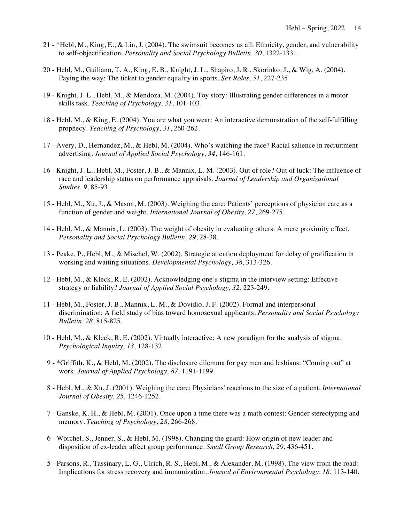- 21 \*Hebl, M., King, E., & Lin, J. (2004). The swimsuit becomes us all: Ethnicity, gender, and vulnerability  to self-objectification. *Personality and Social Psychology Bulletin, 30*, 1322-1331.
- 20 Hebl, M., Guiliano, T. A., King, E. B., Knight, J. L., Shapiro, J. R., Skorinko, J., & Wig, A. (2004). Paying the way: The ticket to gender equality in sports. *Sex Roles, 51*, 227-235.
- 19 Knight, J. L., Hebl, M., & Mendoza, M. (2004). Toy story: Illustrating gender differences in a motor  skills task. *Teaching of Psychology, 31*, 101-103.
- 18 Hebl, M., & King, E. (2004). You are what you wear: An interactive demonstration of the self-fulfilling  prophecy. *Teaching of Psychology, 31*, 260-262.
- 17 Avery, D., Hernandez, M., & Hebl, M. (2004). Who's watching the race? Racial salience in recruitment  advertising. *Journal of Applied Social Psychology, 34*, 146-161.
- 16 Knight, J. L., Hebl, M., Foster, J. B., & Mannix, L. M. (2003). Out of role? Out of luck: The influence of race and leadership status on performance appraisals. *Journal of Leadership and Organizational Studies, 9,* 85-93.
- 15 Hebl, M., Xu, J., & Mason, M. (2003). Weighing the care: Patients' perceptions of physician care as a function of gender and weight. *International Journal of Obesity, 27*, 269-275.
- 14 Hebl, M., & Mannix, L. (2003). The weight of obesity in evaluating others: A mere proximity effect.  *Personality and Social Psychology Bulletin, 29*, 28-38*.*
- 13 Peake, P., Hebl, M., & Mischel, W. (2002). Strategic attention deployment for delay of gratification in working and waiting situations. *Developmental Psychology, 38*, 313-326.
- 12 Hebl, M., & Kleck, R. E. (2002). Acknowledging one's stigma in the interview setting: Effective strategy or liability? *Journal of Applied Social Psychology, 32*, 223-249.
- 11 Hebl, M., Foster, J. B., Mannix, L. M., & Dovidio, J. F. (2002). Formal and interpersonal discrimination: A field study of bias toward homosexual applicants. *Personality and Social Psychology Bulletin, 28*, 815-825.
- 10 Hebl, M., & Kleck, R. E. (2002). Virtually interactive: A new paradigm for the analysis of stigma.  *Psychological Inquiry, 13,* 128-132.
- 9 \*Griffith, K., & Hebl, M. (2002). The disclosure dilemma for gay men and lesbians: "Coming out" at  work. *Journal of Applied Psychology, 87,* 1191-1199*.*
- 8 Hebl, M., & Xu, J. (2001). Weighing the care: Physicians' reactions to the size of a patient. *International Journal of Obesity, 25,* 1246-1252.
- 7 Ganske, K. H., & Hebl, M. (2001). Once upon a time there was a math contest: Gender stereotyping and  memory. *Teaching of Psychology, 28,* 266-268.
- 6 Worchel, S., Jenner, S., & Hebl, M. (1998). Changing the guard: How origin of new leader and disposition of ex-leader affect group performance. *Small Group Research, 29*, 436-451.
- 5 Parsons, R., Tassinary, L. G., Ulrich, R. S., Hebl, M., & Alexander, M. (1998). The view from the road: Implications for stress recovery and immunization. *Journal of Environmental Psychology. 18*, 113-140.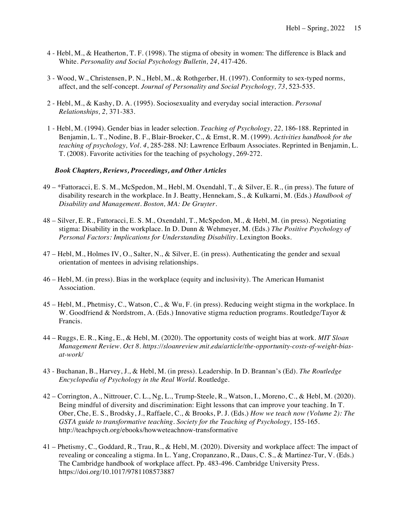- 4 Hebl, M., & Heatherton, T. F. (1998). The stigma of obesity in women: The difference is Black and  White. *Personality and Social Psychology Bulletin, 24*, 417-426.
- 3 Wood, W., Christensen, P. N., Hebl, M., & Rothgerber, H. (1997). Conformity to sex-typed norms, affect, and the self-concept. *Journal of Personality and Social Psychology, 73*, 523-535.
- 2 Hebl, M., & Kashy, D. A. (1995). Sociosexuality and everyday social interaction. *Personal Relationships, 2,* 371-383.
- 1 Hebl, M. (1994). Gender bias in leader selection. *Teaching of Psychology, 22,* 186-188. Reprinted in Benjamin, L. T., Nodine, B. F., Blair-Broeker, C., & Ernst, R. M. (1999). *Activities handbook for the teaching of psychology, Vol. 4*, 285-288. NJ: Lawrence Erlbaum Associates. Reprinted in Benjamin, L. T. (2008). Favorite activities for the teaching of psychology, 269-272.

# *Book Chapters, Reviews, Proceedings, and Other Articles*

- 49 \*Fattoracci, E. S. M., McSpedon, M., Hebl, M. Oxendahl, T., & Silver, E. R., (in press). The future of disability research in the workplace. In J. Beatty, Hennekam, S., & Kulkarni, M. (Eds.) *Handbook of Disability and Management. Boston, MA: De Gruyter.*
- 48 Silver, E. R., Fattoracci, E. S. M., Oxendahl, T., McSpedon, M., & Hebl, M. (in press). Negotiating stigma: Disability in the workplace. In D. Dunn & Wehmeyer, M. (Eds.) *The Positive Psychology of*  Personal Factors: Implications for Understanding Disability. Lexington Books.
- 47 Hebl, M., Holmes IV, O., Salter, N., & Silver, E. (in press). Authenticating the gender and sexual orientation of mentees in advising relationships.
- 46 Hebl, M. (in press). Bias in the workplace (equity and inclusivity). The American Humanist Association.
- 45 Hebl, M., Phetmisy, C., Watson, C., & Wu, F. (in press). Reducing weight stigma in the workplace. In W. Goodfriend & Nordstrom, A. (Eds.) Innovative stigma reduction programs. Routledge/Tayor & Francis.
- 44 Ruggs, E. R., King, E., & Hebl, M. (2020). The opportunity costs of weight bias at work. *MIT Sloan Management Review. Oct 8.<https://sloanreview.mit.edu/article/the-opportunity-costs-of-weight-bias>at-work/*
- 43 Buchanan, B., Harvey, J., & Hebl, M. (in press). Leadership. In D. Brannan's (Ed). *The Routledge Encyclopedia of Psychology in the Real World*. Routledge.
- 42 Corrington, A., Nittrouer, C. L., Ng, L., Trump-Steele, R., Watson, I., Moreno, C., & Hebl, M. (2020). Being mindful of diversity and discrimination: Eight lessons that can improve your teaching. In T. Ober, Che, E. S., Brodsky, J., Raffaele, C., & Brooks, P. J. (Eds.) *How we teach now (Volume 2): The*  GSTA guide to transformative teaching. Society for the Teaching of Psychology, 155-165. <http://teachpsych.org/ebooks/howweteachnow-transformative>
- 41 Phetismy, C., Goddard, R., Trau, R., & Hebl, M. (2020). Diversity and workplace affect: The impact of revealing or concealing a stigma. In L. Yang, Cropanzano, R., Daus, C. S., & Martinez-Tur, V. (Eds.) The Cambridge handbook of workplace affect. Pp. 483-496. Cambridge University Press. <https://doi.org/10.1017/9781108573887>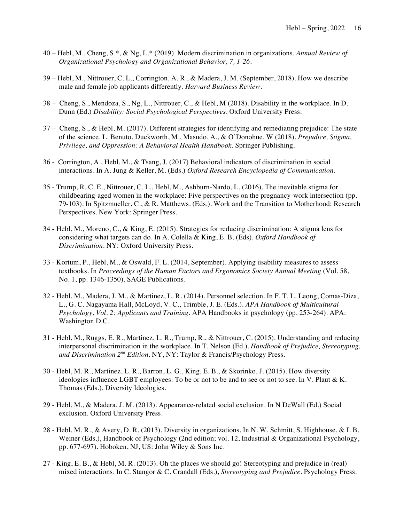- 40 Hebl, M., Cheng, S.\*, & Ng, L.\* (2019). Modern discrimination in organizations. *Annual Review of Organizational Psychology and Organizational Behavior, 7, 1-26.*
- 39 Hebl, M., Nittrouer, C. L., Corrington, A. R., & Madera, J. M. (September, 2018). How we describe male and female job applicants differently. *Harvard Business Review*.
- 38 Cheng, S., Mendoza, S., Ng, L., Nittrouer, C., & Hebl, M (2018). Disability in the workplace. In D. Dunn (Ed.) *Disability: Social Psychological Perspectives.* Oxford University Press.
- 37 Cheng, S., & Hebl, M. (2017). Different strategies for identifying and remediating prejudice: The state of the science. L. Benuto, Duckworth, M., Masudo, A., & O'Donohue, W (2018). *Prejudice, Stigma, Privilege, and Oppression: A Behavioral Health Handbook.* Springer Publishing.
- 36 Corrington, A., Hebl, M., & Tsang, J. (2017) Behavioral indicators of discrimination in social interactions. In A. Jung & Keller, M. (Eds.) *Oxford Research Encyclopedia of Communication.*
- 35 Trump, R. C. E., Nittrouer, C. L., Hebl, M., Ashburn-Nardo, L. (2016). The inevitable stigma for childbearing-aged women in the workplace: Five perspectives on the pregnancy-work intersection (pp. 79-103). In Spitzmueller, C., & R. Matthews. (Eds.). Work and the Transition to Motherhood: Research Perspectives. New York: Springer Press.
- 34 Hebl, M., Moreno, C., & King, E. (2015). Strategies for reducing discrimination: A stigma lens for considering what targets can do. In A. Colella & King, E. B. (Eds). *Oxford Handbook of Discrimination*. NY: Oxford University Press.
- 33 Kortum, P., Hebl, M., & Oswald, F. L. (2014, September). Applying usability measures to assess textbooks. In *Proceedings of the Human Factors and Ergonomics Society Annual Meeting* (Vol. 58, No. 1, pp. 1346-1350). SAGE Publications.
- 32 Hebl, M., Madera, J. M., & Martinez, L. R. (2014). Personnel selection. In F. T. L. Leong, Comas-Diza, L., G. C. Nagayama Hall, McLoyd, V. C., Trimble, J. E. (Eds.). *APA Handbook of Multicultural Psychology, Vol. 2: Applicants and Training.* APA Handbooks in psychology (pp. 253-264). APA: Washington D.C.
- 31 Hebl, M., Ruggs, E. R., Martinez, L. R., Trump, R., & Nittrouer, C. (2015). Understanding and reducing  interpersonal discrimination in the workplace. In T. Nelson (Ed.). *Handbook of Prejudice, Stereotyping, and Discrimination 2nd Edition.* NY, NY: Taylor & Francis/Psychology Press.
- 30 Hebl, M. R., Martinez, L. R., Barron, L. G., King, E. B., & Skorinko, J. (2015). How diversity Thomas (Eds.), Diversity Ideologies. ideologies influence LGBT employees: To be or not to be and to see or not to see. In V. Plaut  $\& K$ .
- 29 Hebl, M., & Madera, J. M. (2013). Appearance-related social exclusion. In N DeWall (Ed.) Social exclusion. Oxford University Press.
- 28 Hebl, M. R., & Avery, D. R. (2013). Diversity in organizations. In N. W. Schmitt, S. Highhouse, & I. B. Weiner (Eds.), Handbook of Psychology (2nd edition; vol. 12, Industrial & Organizational Psychology, pp. 677-697). Hoboken, NJ, US: John Wiley & Sons Inc.
- 27 King, E. B., & Hebl, M. R. (2013). Oh the places we should go! Stereotyping and prejudice in (real) mixed interactions. In C. Stangor & C. Crandall (Eds.), *Stereotyping and Prejudice*. Psychology Press.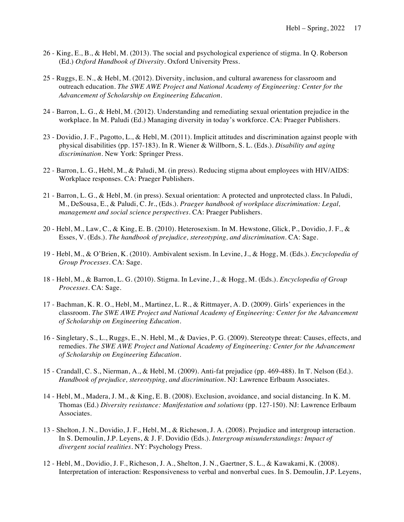- 26 King, E., B., & Hebl, M. (2013). The social and psychological experience of stigma. In Q. Roberson  (Ed.) *Oxford Handbook of Diversity.* Oxford University Press.
- 25 Ruggs, E. N., & Hebl, M. (2012). Diversity, inclusion, and cultural awareness for classroom and  outreach education. *The SWE AWE Project and National Academy of Engineering: Center for the Advancement of Scholarship on Engineering Education*.
- 24 Barron, L. G., & Hebl, M. (2012). Understanding and remediating sexual orientation prejudice in the workplace. In M. Paludi (Ed.) Managing diversity in today's workforce. CA: Praeger Publishers.
- 23 Dovidio, J. F., Pagotto, L., & Hebl, M. (2011). Implicit attitudes and discrimination against people with physical disabilities (pp. 157-183). In R. Wiener & Willborn, S. L. (Eds.). *Disability and aging discrimination*. New York: Springer Press.
- 22 Barron, L. G., Hebl, M., & Paludi, M. (in press). Reducing stigma about employees with HIV/AIDS: Workplace responses. CA: Praeger Publishers.
- 21 Barron, L. G., & Hebl, M. (in press). Sexual orientation: A protected and unprotected class. In Paludi, M., DeSousa, E., & Paludi, C. Jr., (Eds.). *Praeger handbook of workplace discrimination: Legal, management and social science perspectives.* CA: Praeger Publishers.
- 20 Hebl, M., Law, C., & King, E. B. (2010). Heterosexism. In M. Hewstone, Glick, P., Dovidio, J. F., & Esses, V. (Eds.). *The handbook of prejudice, stereotyping, and discrimination*. CA: Sage.
- 19 Hebl, M., & O'Brien, K. (2010). Ambivalent sexism. In Levine, J., & Hogg, M. (Eds.). *Encyclopedia of Group Processes.* CA: Sage.
- 18 Hebl, M., & Barron, L. G. (2010). Stigma. In Levine, J., & Hogg, M. (Eds.). *Encyclopedia of Group Processes.* CA: Sage.
- 17 Bachman, K. R. O., Hebl, M., Martinez, L. R., & Rittmayer, A. D. (2009). Girls' experiences in the  classroom. *The SWE AWE Project and National Academy of Engineering: Center for the Advancement of Scholarship on Engineering Education*.
- 16 Singletary, S., L., Ruggs, E., N. Hebl, M., & Davies, P. G. (2009). Stereotype threat: Causes, effects, and  remedies. *The SWE AWE Project and National Academy of Engineering: Center for the Advancement of Scholarship on Engineering Education*.
- 15 Crandall, C. S., Nierman, A., & Hebl, M. (2009). Anti-fat prejudice (pp. 469-488). In T. Nelson (Ed.).  *Handbook of prejudice, stereotyping, and discrimination.* NJ: Lawrence Erlbaum Associates.
- 14 Hebl, M., Madera, J. M., & King, E. B. (2008). Exclusion, avoidance, and social distancing. In K. M. Thomas (Ed.) *Diversity resistance: Manifestation and solutions* (pp. 127-150). NJ: Lawrence Erlbaum Associates.
- 13 Shelton, J. N., Dovidio, J. F., Hebl, M., & Richeson, J. A. (2008). Prejudice and intergroup interaction. In S. Demoulin, J.P. Leyens, & J. F. Dovidio (Eds.). *Intergroup misunderstandings: Impact of divergent social realities.* NY: Psychology Press.
- 12 Hebl, M., Dovidio, J. F., Richeson, J. A., Shelton, J. N., Gaertner, S. L., & Kawakami, K. (2008). Interpretation of interaction: Responsiveness to verbal and nonverbal cues. In S. Demoulin, J.P. Leyens,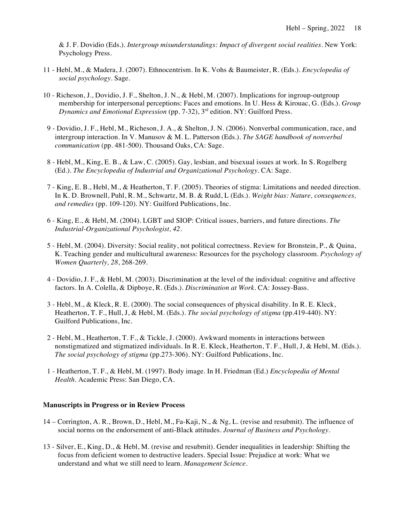& J. F. Dovidio (Eds.). *Intergroup misunderstandings: Impact of divergent social realities.* New York: Psychology Press.

- 11 Hebl, M., & Madera, J. (2007). Ethnocentrism. In K. Vohs & Baumeister, R. (Eds.). *Encyclopedia of social psychology.* Sage.
- 10 Richeson, J., Dovidio, J. F., Shelton, J. N., & Hebl, M. (2007). Implications for ingroup-outgroup membership for interpersonal perceptions: Faces and emotions. In U. Hess & Kirouac, G. (Eds.). *Group Dynamics and Emotional Expression* (pp. 7-32), 3rd edition. NY: Guilford Press.
- 9 Dovidio, J. F., Hebl, M., Richeson, J. A., & Shelton, J. N. (2006). Nonverbal communication, race, and  intergroup interaction. In V. Manusov & M. L. Patterson (Eds.). *The SAGE handbook of nonverbal communication* (pp. 481-500). Thousand Oaks, CA: Sage.
- 8 Hebl, M., King, E. B., & Law, C. (2005). Gay, lesbian, and bisexual issues at work. In S. Rogelberg  (Ed.). *The Encyclopedia of Industrial and Organizational Psychology*. CA: Sage.
- 7 King, E. B., Hebl, M., & Heatherton, T. F. (2005). Theories of stigma: Limitations and needed direction. In K. D. Brownell, Puhl, R. M., Schwartz, M. B. & Rudd, L (Eds.). *Weight bias: Nature, consequences, and remedies* (pp. 109-120). NY: Guilford Publications, Inc.
- 6 King, E., & Hebl, M. (2004). LGBT and SIOP: Critical issues, barriers, and future directions. *The Industrial-Organizational Psychologist, 42*.
- K. Teaching gender and multicultural awareness: Resources for the psychology classroom. *Psychology of Women Quarterly, 28*, 268-269. 5 - Hebl, M. (2004). Diversity: Social reality, not political correctness. Review for Bronstein, P., & Quina,
- 4 Dovidio, J. F., & Hebl, M. (2003). Discrimination at the level of the individual: cognitive and affective factors. In A. Colella, & Dipboye, R. (Eds.). *Discrimination at Work.* CA: Jossey-Bass.
- 3 Hebl, M., & Kleck, R. E. (2000). The social consequences of physical disability. In R. E. Kleck, Heatherton, T. F., Hull, J, & Hebl, M. (Eds.). *The social psychology of stigma* (pp.419-440). NY: Guilford Publications, Inc.
- 2 Hebl, M., Heatherton, T. F., & Tickle, J. (2000). Awkward moments in interactions between nonstigmatized and stigmatized individuals. In R. E. Kleck, Heatherton, T. F., Hull, J, & Hebl, M. (Eds.).  *The social psychology of stigma* (pp.273-306). NY: Guilford Publications, Inc.
- 1 Heatherton, T. F., & Hebl, M. (1997). Body image. In H. Friedman (Ed.) *Encyclopedia of Mental Health*. Academic Press: San Diego, CA.

### **Manuscripts in Progress or in Review Process**

- 14 Corrington, A. R., Brown, D., Hebl, M., Fa-Kaji, N., & Ng, L. (revise and resubmit). The influence of social norms on the endorsement of anti-Black attitudes. *Journal of Business and Psychology.*
- 13 Silver, E., King, D., & Hebl, M. (revise and resubmit). Gender inequalities in leadership: Shifting the focus from deficient women to destructive leaders. Special Issue: Prejudice at work: What we understand and what we still need to learn. *Management Science.*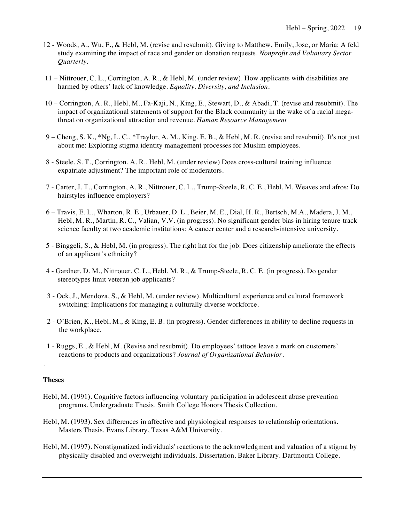- 12 Woods, A., Wu, F., & Hebl, M. (revise and resubmit). Giving to Matthew, Emily, Jose, or Maria: A feld study examining the impact of race and gender on donation requests. *Nonprofit and Voluntary Sector Quarterly.*
- 11 Nittrouer, C. L., Corrington, A. R., & Hebl, M. (under review). How applicants with disabilities are harmed by others' lack of knowledge. *Equality, Diversity, and Inclusion.*
- 10 Corrington, A. R., Hebl, M., Fa-Kaji, N., King, E., Stewart, D., & Abadi, T. (revise and resubmit). The impact of organizational statements of support for the Black community in the wake of a racial mega- threat on organizational attraction and revenue. *Human Resource Management*
- 9 Cheng, S. K., \*Ng, L. C., \*Traylor, A. M., King, E. B., & Hebl, M. R. (revise and resubmit). It's not just about me: Exploring stigma identity management processes for Muslim employees.
- 8 Steele, S. T., Corrington, A. R., Hebl, M. (under review) Does cross-cultural training influence expatriate adjustment? The important role of moderators.
- 7 Carter, J. T., Corrington, A. R., Nittrouer, C. L., Trump-Steele, R. C. E., Hebl, M. Weaves and afros: Do hairstyles influence employers?
- 6 Travis, E. L., Wharton, R. E., Urbauer, D. L., Beier, M. E., Dial, H. R., Bertsch, M.A., Madera, J. M., Hebl, M. R., Martin, R. C., Valian, V.V. (in progress). No significant gender bias in hiring tenure-track science faculty at two academic institutions: A cancer center and a research-intensive university.
- 5 Binggeli, S., & Hebl, M. (in progress). The right hat for the job: Does citizenship ameliorate the effects of an applicant's ethnicity?
- 4 Gardner, D. M., Nittrouer, C. L., Hebl, M. R., & Trump-Steele, R. C. E. (in progress). Do gender stereotypes limit veteran job applicants?
- 3 Ock, J., Mendoza, S., & Hebl, M. (under review). Multicultural experience and cultural framework switching: Implications for managing a culturally diverse workforce.
- 2 O'Brien, K., Hebl, M., & King, E. B. (in progress). Gender differences in ability to decline requests in the workplace.
- reactions to products and organizations? *Journal of Organizational Behavior.*  1 - Ruggs, E., & Hebl, M. (Revise and resubmit). Do employees' tattoos leave a mark on customers'

### **Theses**

.

- Hebl, M. (1991). Cognitive factors influencing voluntary participation in adolescent abuse prevention programs. Undergraduate Thesis. Smith College Honors Thesis Collection.
- Hebl, M. (1993). Sex differences in affective and physiological responses to relationship orientations. Masters Thesis. Evans Library, Texas A&M University.
- Hebl, M. (1997). Nonstigmatized individuals' reactions to the acknowledgment and valuation of a stigma by physically disabled and overweight individuals. Dissertation. Baker Library. Dartmouth College.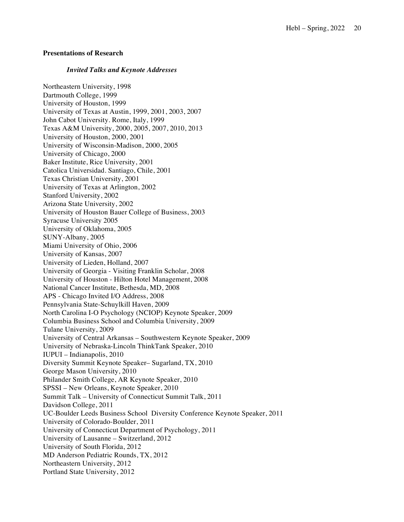### **Presentations of Research**

### *Invited Talks and Keynote Addresses*

 Northeastern University, 1998 Dartmouth College, 1999 University of Houston, 1999 University of Texas at Austin, 1999, 2001, 2003, 2007 John Cabot University. Rome, Italy, 1999 Texas A&M University, 2000, 2005, 2007, 2010, 2013 University of Houston, 2000, 2001 University of Wisconsin-Madison, 2000, 2005 University of Chicago, 2000 Baker Institute, Rice University, 2001 Catolica Universidad. Santiago, Chile, 2001 University of Texas at Arlington, 2002 Stanford University, 2002 Arizona State University, 2002 University of Houston Bauer College of Business, 2003 Syracuse University 2005 University of Oklahoma, 2005 Miami University of Ohio, 2006 University of Kansas, 2007 University of Lieden, Holland, 2007 University of Georgia - Visiting Franklin Scholar, 2008 University of Houston - Hilton Hotel Management, 2008 National Cancer Institute, Bethesda, MD, 2008 APS - Chicago Invited I/O Address, 2008 Pennsylvania State-Schuylkill Haven, 2009 North Carolina I-O Psychology (NCIOP) Keynote Speaker, 2009 Columbia Business School and Columbia University, 2009 Tulane University, 2009 University of Central Arkansas – Southwestern Keynote Speaker, 2009 University of Nebraska-Lincoln ThinkTank Speaker, 2010 Diversity Summit Keynote Speaker– Sugarland, TX, 2010 George Mason University, 2010 Philander Smith College, AR Keynote Speaker, 2010 SPSSI – New Orleans, Keynote Speaker, 2010 Summit Talk – University of Connecticut Summit Talk, 2011 Davidson College, 2011 UC-Boulder Leeds Business School Diversity Conference Keynote Speaker, 2011 University of Colorado-Boulder, 2011 University of Connecticut Department of Psychology, 2011 University of Lausanne – Switzerland, 2012 University of South Florida, 2012 MD Anderson Pediatric Rounds, TX, 2012 Northeastern University, 2012 Portland State University, 2012 Texas Christian University, 2001 SUNY-Albany, 2005 IUPUI – Indianapolis, 2010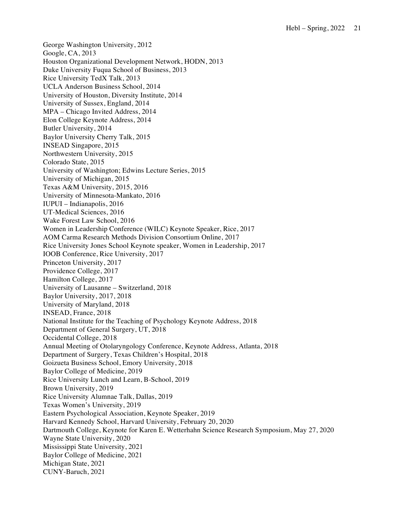George Washington University, 2012 Google, CA, 2013 Houston Organizational Development Network, HODN, 2013 Duke University Fuqua School of Business, 2013 Rice University TedX Talk, 2013 UCLA Anderson Business School, 2014 University of Houston, Diversity Institute, 2014 University of Sussex, England, 2014 MPA – Chicago Invited Address, 2014 Elon College Keynote Address, 2014 Butler University, 2014 Baylor University Cherry Talk, 2015 INSEAD Singapore, 2015 Northwestern University, 2015 Colorado State, 2015 University of Washington; Edwins Lecture Series, 2015 University of Michigan, 2015 Texas A&M University, 2015, 2016 University of Minnesota-Mankato, 2016 UT-Medical Sciences, 2016 Wake Forest Law School, 2016 Women in Leadership Conference (WILC) Keynote Speaker, Rice, 2017 AOM Carma Research Methods Division Consortium Online, 2017 Rice University Jones School Keynote speaker, Women in Leadership, 2017 IOOB Conference, Rice University, 2017 Princeton University, 2017 Providence College, 2017 Hamilton College, 2017 University of Lausanne – Switzerland, 2018 Baylor University, 2017, 2018 University of Maryland, 2018 INSEAD, France, 2018 National Institute for the Teaching of Psychology Keynote Address, 2018 Department of General Surgery, UT, 2018 Occidental College, 2018 Annual Meeting of Otolaryngology Conference, Keynote Address, Atlanta, 2018 Department of Surgery, Texas Children's Hospital, 2018 Goizueta Business School, Emory University, 2018 Baylor College of Medicine, 2019 Rice University Lunch and Learn, B-School, 2019 Brown University, 2019 Rice University Alumnae Talk, Dallas, 2019 Texas Women's University, 2019 Eastern Psychological Association, Keynote Speaker, 2019 Harvard Kennedy School, Harvard University, February 20, 2020 Dartmouth College, Keynote for Karen E. Wetterhahn Science Research Symposium, May 27, 2020 Wayne State University, 2020 Mississippi State University, 2021 Baylor College of Medicine, 2021 Michigan State, 2021 IUPUI – Indianapolis, 2016 CUNY-Baruch, 2021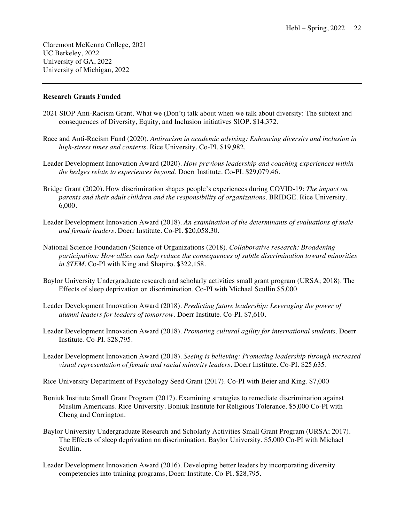Claremont McKenna College, 2021 UC Berkeley, 2022 University of GA, 2022 University of Michigan, 2022

### **Research Grants Funded**

- 2021 SIOP Anti-Racism Grant. What we (Don't) talk about when we talk about diversity: The subtext and consequences of Diversity, Equity, and Inclusion initiatives SIOP. \$14,372.
- Race and Anti-Racism Fund (2020). *Antiracism in academic advising: Enhancing diversity and inclusion in high-stress times and contexts.* Rice University. Co-PI. \$19,982.
- Leader Development Innovation Award (2020). *How previous leadership and coaching experiences within the hedges relate to experiences beyond.* Doerr Institute. Co-PI. \$[29,079.46.](https://29,079.46)
- Bridge Grant (2020). How discrimination shapes people's experiences during COVID-19: *The impact on parents and their adult children and the responsibility of organizations.* BRIDGE. Rice University. 6,000.
- Leader Development Innovation Award (2018). *An examination of the determinants of evaluations of male and female leaders.* Doerr Institute. Co-PI. \$[20,058.30.](https://20,058.30)
- National Science Foundation (Science of Organizations (2018). *Collaborative research: Broadening participation: How allies can help reduce the consequences of subtle discrimination toward minorities in STEM*. Co-PI with King and Shapiro. \$322,158.
- Baylor University Undergraduate research and scholarly activities small grant program (URSA; 2018). The Effects of sleep deprivation on discrimination. Co-PI with Michael Scullin \$5,000
- Leader Development Innovation Award (2018). *Predicting future leadership: Leveraging the power of alumni leaders for leaders of tomorrow.* Doerr Institute. Co-PI. \$7,610.
- Leader Development Innovation Award (2018). *Promoting cultural agility for international students.* Doerr Institute. Co-PI. \$28,795.
- Leader Development Innovation Award (2018). *Seeing is believing: Promoting leadership through increased visual representation of female and racial minority leaders.* Doerr Institute. Co-PI. \$25,635.
- Rice University Department of Psychology Seed Grant (2017). Co-PI with Beier and King. \$7,000
- Boniuk Institute Small Grant Program (2017). Examining strategies to remediate discrimination against Muslim Americans. Rice University. Boniuk Institute for Religious Tolerance. \$5,000 Co-PI with Cheng and Corrington.
- Baylor University Undergraduate Research and Scholarly Activities Small Grant Program (URSA; 2017). The Effects of sleep deprivation on discrimination. Baylor University. \$5,000 Co-PI with Michael Scullin.
- Leader Development Innovation Award (2016). Developing better leaders by incorporating diversity competencies into training programs, Doerr Institute. Co-PI. \$28,795.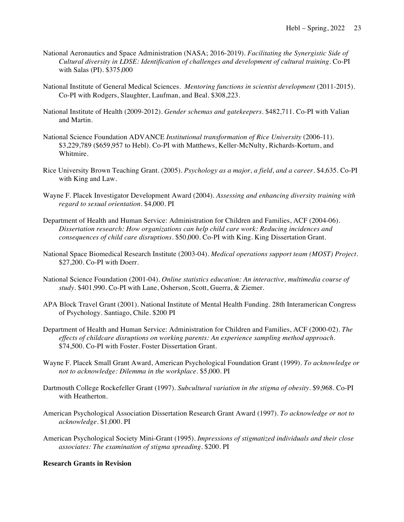- National Aeronautics and Space Administration (NASA; 2016-2019). *Facilitating the Synergistic Side of Cultural diversity in LDSE: Identification of challenges and development of cultural training*. Co-PI with Salas (PI). \$375,000
- National Institute of General Medical Sciences. *Mentoring functions in scientist development* (2011-2015). Co-PI with Rodgers, Slaughter, Laufman, and Beal. \$308,223.
- National Institute of Health (2009-2012). *Gender schemas and gatekeepers*. \$482,711. Co-PI with Valian and Martin.
- National Science Foundation ADVANCE *Institutional transformation of Rice University* (2006-11). \$3,229,789 (\$659,957 to Hebl). Co-PI with Matthews, Keller-McNulty, Richards-Kortum, and Whitmire.
- Rice University Brown Teaching Grant. (2005). *Psychology as a major, a field, and a career.* \$4,635. Co-PI with King and Law.
- Wayne F. Placek Investigator Development Award (2004). *Assessing and enhancing diversity training with regard to sexual orientation*. \$4,000. PI
- Department of Health and Human Service: Administration for Children and Families, ACF (2004-06).  *Dissertation research: How organizations can help child care work: Reducing incidences and consequences of child care disruptions.* \$50,000. Co-PI with King. King Dissertation Grant.
- National Space Biomedical Research Institute (2003-04). *Medical operations support team (MOST) Project.*  \$27,200. Co-PI with Doerr.
- National Science Foundation (2001-04). *Online statistics education: An interactive, multimedia course of study.* \$401,990. Co-PI with Lane, Osherson, Scott, Guerra, & Ziemer.
- APA Block Travel Grant (2001). National Institute of Mental Health Funding. 28th Interamerican Congress of Psychology. Santiago, Chile. \$200 PI
- Department of Health and Human Service: Administration for Children and Families, ACF (2000-02). *The effects of childcare disruptions on working parents: An experience sampling method approach.* \$74,500. Co-PI with Foster. Foster Dissertation Grant.
- Wayne F. Placek Small Grant Award, American Psychological Foundation Grant (1999). *To acknowledge or not to acknowledge: Dilemma in the workplace.* \$5,000. PI
- Dartmouth College Rockefeller Grant (1997). *Subcultural variation in the stigma of obesity.* \$9,968. Co-PI with Heatherton.
- American Psychological Association Dissertation Research Grant Award (1997). *To acknowledge or not to acknowledge.* \$1,000. PI
- American Psychological Society Mini-Grant (1995). *Impressions of stigmatized individuals and their close associates: The examination of stigma spreading.* \$200. PI

# **Research Grants in Revision**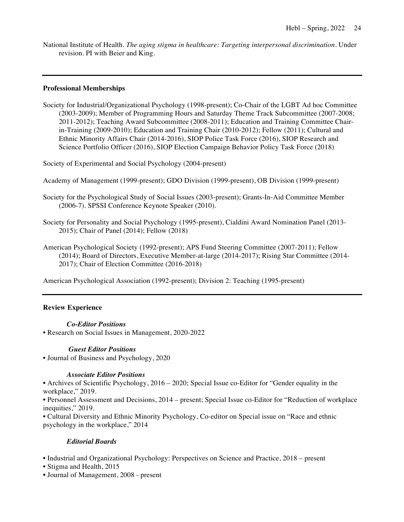National Institute of Health. *The aging stigma in healthcare: Targeting interpersonal discrimination*. Under revision. PI with Beier and King.

### **Professional Memberships**

 Society for Industrial/Organizational Psychology (1998-present); Co-Chair of the LGBT Ad hoc Committee (2003-2009); Member of Programming Hours and Saturday Theme Track Subcommittee (2007-2008; in-Training (2009-2010); Education and Training Chair (2010-2012); Fellow (2011); Cultural and Ethnic Minority Affairs Chair (2014-2016), SIOP Police Task Force (2016), SIOP Research and Science Portfolio Officer (2016), SIOP Election Campaign Behavior Policy Task Force (2018) 2011-2012); Teaching Award Subcommittee (2008-2011); Education and Training Committee Chair-

Society of Experimental and Social Psychology (2004-present)

Academy of Management (1999-present); GDO Division (1999-present), OB Division (1999-present)

- Society for the Psychological Study of Social Issues (2003-present); Grants-In-Aid Committee Member (2006-7). SPSSI Conference Keynote Speaker (2010).
- Society for Personality and Social Psychology (1995-present), Cialdini Award Nomination Panel (2013- 2015); Chair of Panel (2014); Fellow (2018)
- American Psychological Society (1992-present); APS Fund Steering Committee (2007-2011); Fellow (2014); Board of Directors, Executive Member-at-large (2014-2017); Rising Star Committee (2014- 2017); Chair of Election Committee (2016-2018)

American Psychological Association (1992-present); Division 2: Teaching (1995-present)

## **Review Experience**

## *Co-Editor Positions*

• Research on Social Issues in Management, 2020-2022

# *Guest Editor Positions*

• Journal of Business and Psychology, 2020

# *Associate Editor Positions*

 • Archives of Scientific Psychology, 2016 – 2020; Special Issue co-Editor for "Gender equality in the workplace," 2019.

 • Personnel Assessment and Decisions, 2014 – present; Special Issue co-Editor for "Reduction of workplace inequities," 2019.

 • Cultural Diversity and Ethnic Minority Psychology, Co-editor on Special issue on "Race and ethnic psychology in the workplace," 2014

## *Editorial Boards*

• Industrial and Organizational Psychology: Perspectives on Science and Practice, 2018 – present

- Stigma and Health, 2015
- Journal of Management, 2008 present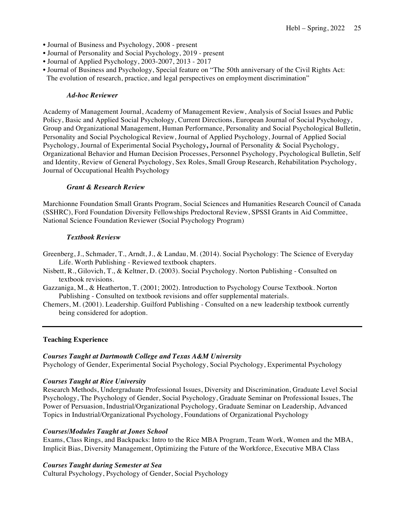- Journal of Business and Psychology, 2008 present
- Journal of Personality and Social Psychology, 2019 present
- Journal of Applied Psychology, 2003-2007, 2013 2017
- • Journal of Business and Psychology, Special feature on "The 50th anniversary of the Civil Rights Act: The evolution of research, practice, and legal perspectives on employment discrimination"

# *Ad-hoc Reviewer*

 Academy of Management Journal, Academy of Management Review, Analysis of Social Issues and Public Policy, Basic and Applied Social Psychology, Current Directions, European Journal of Social Psychology, Group and Organizational Management, Human Performance, Personality and Social Psychological Bulletin, Personality and Social Psychological Review, Journal of Applied Psychology, Journal of Applied Social Psychology, Journal of Experimental Social Psychology**,** Journal of Personality & Social Psychology, Organizational Behavior and Human Decision Processes, Personnel Psychology, Psychological Bulletin, Self and Identity, Review of General Psychology, Sex Roles, Small Group Research, Rehabilitation Psychology, Journal of Occupational Health Psychology

# *Grant & Research Review*

 Marchionne Foundation Small Grants Program, Social Sciences and Humanities Research Council of Canada (SSHRC), Ford Foundation Diversity Fellowships Predoctoral Review, SPSSI Grants in Aid Committee, National Science Foundation Reviewer (Social Psychology Program)

### *Textbook Reviesw*

- Greenberg, J., Schmader, T., Arndt, J., & Landau, M. (2014). Social Psychology: The Science of Everyday Life. Worth Publishing - Reviewed textbook chapters.
- Nisbett, R., Gilovich, T., & Keltner, D. (2003). Social Psychology. Norton Publishing Consulted on textbook revisions.
- Gazzaniga, M., & Heatherton, T. (2001; 2002). Introduction to Psychology Course Textbook. Norton Publishing - Consulted on textbook revisions and offer supplemental materials.
- Chemers, M. (2001). Leadership. Guilford Publishing Consulted on a new leadership textbook currently being considered for adoption.

### **Teaching Experience**

# *Courses Taught at Dartmouth College and Texas A&M University*

Psychology of Gender, Experimental Social Psychology, Social Psychology, Experimental Psychology

# *Courses Taught at Rice University*

 Research Methods, Undergraduate Professional Issues, Diversity and Discrimination, Graduate Level Social Psychology, The Psychology of Gender, Social Psychology, Graduate Seminar on Professional Issues, The Power of Persuasion, Industrial/Organizational Psychology, Graduate Seminar on Leadership, Advanced Topics in Industrial/Organizational Psychology, Foundations of Organizational Psychology

# *Courses/Modules Taught at Jones School*

 Exams, Class Rings, and Backpacks: Intro to the Rice MBA Program, Team Work, Women and the MBA, Implicit Bias, Diversity Management, Optimizing the Future of the Workforce, Executive MBA Class

## *Courses Taught during Semester at Sea*

Cultural Psychology, Psychology of Gender, Social Psychology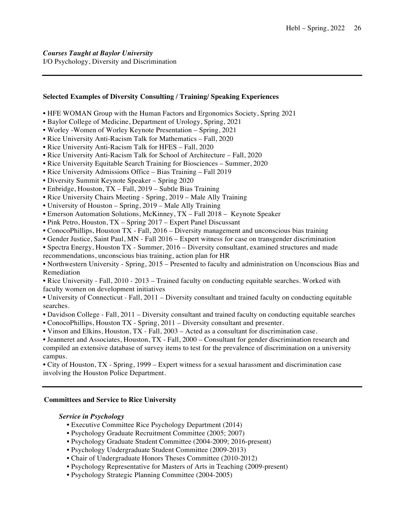# **Selected Examples of Diversity Consulting / Training/ Speaking Experiences**

- HFE WOMAN Group with the Human Factors and Ergonomics Society, Spring 2021
- Baylor College of Medicine, Department of Urology, Spring, 2021
- Worley -Women of Worley Keynote Presentation Spring, 2021
- Rice University Anti-Racism Talk for Mathematics Fall, 2020
- Rice University Anti-Racism Talk for HFES Fall, 2020
- Rice University Anti-Racism Talk for School of Architecture Fall, 2020
- Rice University Equitable Search Training for Biosciences Summer, 2020
- Rice University Admissions Office Bias Training Fall 2019
- Diversity Summit Keynote Speaker Spring 2020
- Enbridge, Houston, TX Fall, 2019 Subtle Bias Training
- Rice University Chairs Meeting Spring, 2019 Male Ally Training
- University of Houston Spring, 2019 Male Ally Training
- Emerson Automation Solutions, McKinney, TX Fall 2018 Keynote Speaker
- Pink Petro, Houston, TX Spring 2017 Expert Panel Discussant
- ConocoPhillips, Houston TX Fall, 2016 Diversity management and unconscious bias training
- Gender Justice, Saint Paul, MN Fall 2016 Expert witness for case on transgender discrimination
- • Spectra Energy, Houston TX Summer, 2016 Diversity consultant, examined structures and made recommendations, unconscious bias training, action plan for HR

 • Northwestern University - Spring, 2015 – Presented to faculty and administration on Unconscious Bias and Remediation

 • Rice University - Fall, 2010 - 2013 – Trained faculty on conducting equitable searches. Worked with faculty women on development initiatives

 • University of Connecticut - Fall, 2011 – Diversity consultant and trained faculty on conducting equitable searches.

- Davidson College Fall, 2011 Diversity consultant and trained faculty on conducting equitable searches
- ConocoPhillips, Houston TX Spring, 2011 Diversity consultant and presenter.
- Vinson and Elkins, Houston, TX Fall, 2003 Acted as a consultant for discrimination case.

 • Jeanneret and Associates, Houston, TX - Fall, 2000 – Consultant for gender discrimination research and compiled an extensive database of survey items to test for the prevalence of discrimination on a university campus.

 • City of Houston, TX - Spring, 1999 – Expert witness for a sexual harassment and discrimination case involving the Houston Police Department.

## **Committees and Service to Rice University**

### *Service in Psychology*

- Executive Committee Rice Psychology Department (2014)
- Psychology Graduate Recruitment Committee (2005; 2007)
- Psychology Graduate Student Committee (2004-2009; 2016-present)
- Psychology Undergraduate Student Committee (2009-2013)
- Chair of Undergraduate Honors Theses Committee (2010-2012)
- Psychology Representative for Masters of Arts in Teaching (2009-present)
- Psychology Strategic Planning Committee (2004-2005)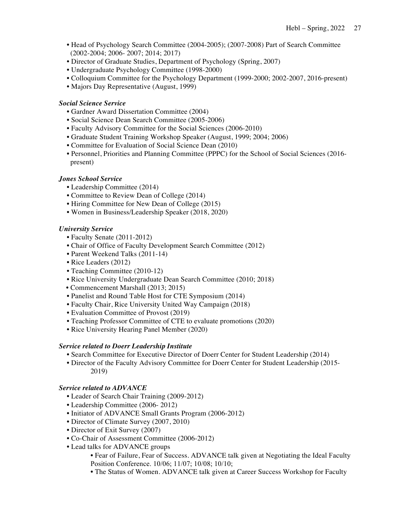- • Head of Psychology Search Committee (2004-2005); (2007-2008) Part of Search Committee (2002-2004; 2006- 2007; 2014; 2017)
- Director of Graduate Studies, Department of Psychology (Spring, 2007)
- Undergraduate Psychology Committee (1998-2000)
- Colloquium Committee for the Psychology Department (1999-2000; 2002-2007, 2016-present)
- Majors Day Representative (August, 1999)

# *Social Science Service*

- Gardner Award Dissertation Committee (2004)
- Social Science Dean Search Committee (2005-2006)
- Faculty Advisory Committee for the Social Sciences (2006-2010)
- Graduate Student Training Workshop Speaker (August, 1999; 2004; 2006)
- Committee for Evaluation of Social Science Dean (2010)
- • Personnel, Priorities and Planning Committee (PPPC) for the School of Social Sciences (2016 present)

# *Jones School Service*

- Leadership Committee (2014)
- Committee to Review Dean of College (2014)
- Hiring Committee for New Dean of College (2015)
- Women in Business/Leadership Speaker (2018, 2020)

## *University Service*

- Faculty Senate (2011-2012)
- Chair of Office of Faculty Development Search Committee (2012)
- Parent Weekend Talks (2011-14)
- Rice Leaders (2012)
- Teaching Committee (2010-12)
- Rice University Undergraduate Dean Search Committee (2010; 2018)
- Commencement Marshall (2013; 2015)
- Panelist and Round Table Host for CTE Symposium (2014)
- Faculty Chair, Rice University United Way Campaign (2018)
- Evaluation Committee of Provost (2019)
- Teaching Professor Committee of CTE to evaluate promotions (2020)
- Rice University Hearing Panel Member (2020)

## *Service related to Doerr Leadership Institute*

- Search Committee for Executive Director of Doerr Center for Student Leadership (2014)
- Director of the Faculty Advisory Committee for Doerr Center for Student Leadership (2015- 2019)

# *Service related to ADVANCE*

- Leader of Search Chair Training (2009-2012)
- Leadership Committee (2006- 2012)
- Initiator of ADVANCE Small Grants Program (2006-2012)
- Director of Climate Survey (2007, 2010)
- Director of Exit Survey (2007)
- Co-Chair of Assessment Committee (2006-2012)
- Lead talks for ADVANCE groups
	- • Fear of Failure, Fear of Success. ADVANCE talk given at Negotiating the Ideal Faculty Position Conference. 10/06; 11/07; 10/08; 10/10;
	- The Status of Women. ADVANCE talk given at Career Success Workshop for Faculty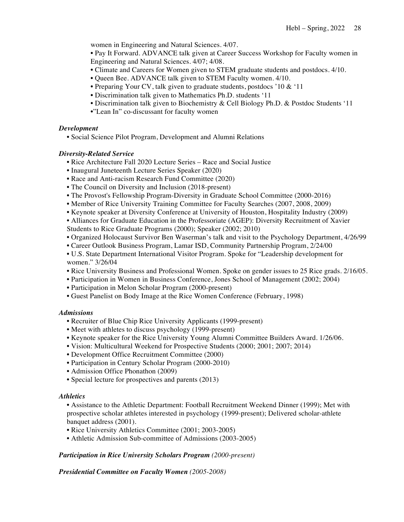women in Engineering and Natural Sciences. 4/07.

 • Pay It Forward. ADVANCE talk given at Career Success Workshop for Faculty women in Engineering and Natural Sciences. 4/07; 4/08.

- Climate and Careers for Women given to STEM graduate students and postdocs. 4/10.
- Queen Bee. ADVANCE talk given to STEM Faculty women. 4/10.
- Preparing Your CV, talk given to graduate students, postdocs '10 & '11
- Discrimination talk given to Mathematics Ph.D. students '11
- Discrimination talk given to Biochemistry & Cell Biology Ph.D. & Postdoc Students '11
- •"Lean In" co-discussant for faculty women

### *Development*

• Social Science Pilot Program, Development and Alumni Relations

### *Diversity-Related Service*

- Rice Architecture Fall 2020 Lecture Series Race and Social Justice
- Inaugural Juneteenth Lecture Series Speaker (2020)
- Race and Anti-racism Research Fund Committee (2020)
- The Council on Diversity and Inclusion (2018-present)
- The Provost's Fellowship Program-Diversity in Graduate School Committee (2000-2016)
- Member of Rice University Training Committee for Faculty Searches (2007, 2008, 2009)
- Keynote speaker at Diversity Conference at University of Houston, Hospitality Industry (2009)
- • Alliances for Graduate Education in the Professoriate (AGEP): Diversity Recruitment of Xavier Students to Rice Graduate Programs (2000); Speaker (2002; 2010)
- Organized Holocaust Survivor Ben Waserman's talk and visit to the Psychology Department, 4/26/99
- Career Outlook Business Program, Lamar ISD, Community Partnership Program, 2/24/00
- • U.S. State Department International Visitor Program. Spoke for "Leadership development for women." 3/26/04
- Rice University Business and Professional Women. Spoke on gender issues to 25 Rice grads. 2/16/05.
- Participation in Women in Business Conference, Jones School of Management (2002; 2004)
- Participation in Melon Scholar Program (2000-present)
- Guest Panelist on Body Image at the Rice Women Conference (February, 1998)

### *Admissions*

- Recruiter of Blue Chip Rice University Applicants (1999-present)
- Meet with athletes to discuss psychology (1999-present)
- Keynote speaker for the Rice University Young Alumni Committee Builders Award. 1/26/06.
- Vision: Multicultural Weekend for Prospective Students (2000; 2001; 2007; 2014)
- Development Office Recruitment Committee (2000)
- Participation in Century Scholar Program (2000-2010)
- Admission Office Phonathon (2009)
- Special lecture for prospectives and parents (2013)

### *Athletics*

 • Assistance to the Athletic Department: Football Recruitment Weekend Dinner (1999); Met with prospective scholar athletes interested in psychology (1999-present); Delivered scholar-athlete banquet address (2001).

- Rice University Athletics Committee (2001; 2003-2005)
- Athletic Admission Sub-committee of Admissions (2003-2005)

### *Participation in Rice University Scholars Program (2000-present)*

# *Presidential Committee on Faculty Women (2005-2008)*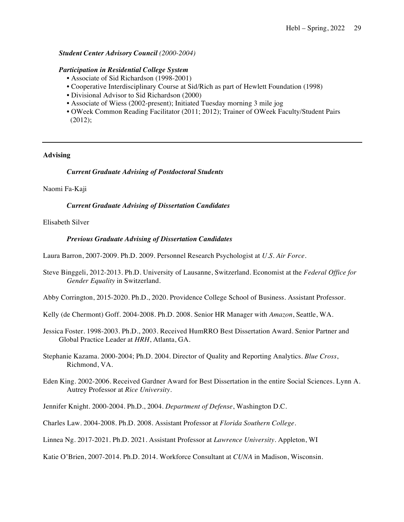## *Student Center Advisory Council (2000-2004)*

#### *Participation in Residential College System*

- Associate of Sid Richardson (1998-2001)
- Cooperative Interdisciplinary Course at Sid/Rich as part of Hewlett Foundation (1998)
- Divisional Advisor to Sid Richardson (2000)
- Associate of Wiess (2002-present); Initiated Tuesday morning 3 mile jog
- • OWeek Common Reading Facilitator (2011; 2012); Trainer of OWeek Faculty/Student Pairs (2012);

### **Advising**

#### *Current Graduate Advising of Postdoctoral Students*

Naomi Fa-Kaji

 *Current Graduate Advising of Dissertation Candidates* 

### Elisabeth Silver

#### *Previous Graduate Advising of Dissertation Candidates*

Laura Barron, 2007-2009. Ph.D. 2009. Personnel Research Psychologist at *U.S. Air Force*.

 Steve Binggeli, 2012-2013. Ph.D. University of Lausanne, Switzerland. Economist at the *Federal Office for Gender Equality* in Switzerland.

Abby Corrington, 2015-2020. Ph.D., 2020. Providence College School of Business. Assistant Professor.

- Kelly (de Chermont) Goff. 2004-2008. Ph.D. 2008. Senior HR Manager with *Amazon*, Seattle, WA.
- Jessica Foster. 1998-2003. Ph.D., 2003. Received HumRRO Best Dissertation Award. Senior Partner and Global Practice Leader at *HRH*, Atlanta, GA.

 Stephanie Kazama. 2000-2004; Ph.D. 2004. Director of Quality and Reporting Analytics. *Blue Cross*, Richmond, VA.

 Eden King. 2002-2006. Received Gardner Award for Best Dissertation in the entire Social Sciences. Lynn A. Autrey Professor at *Rice University*.

Jennifer Knight. 2000-2004. Ph.D., 2004. *Department of Defense*, Washington D.C.

Charles Law. 2004-2008. Ph.D. 2008. Assistant Professor at *Florida Southern College*.

Linnea Ng. 2017-2021. Ph.D. 2021. Assistant Professor at *Lawrence University.* Appleton, WI

Katie O'Brien, 2007-2014. Ph.D. 2014. Workforce Consultant at *CUNA* in Madison, Wisconsin.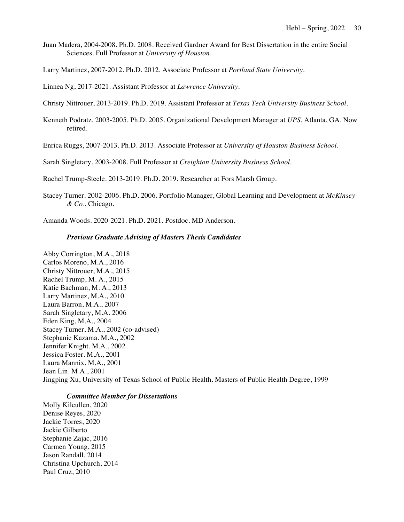Juan Madera, 2004-2008. Ph.D. 2008. Received Gardner Award for Best Dissertation in the entire Social Sciences. Full Professor at *University of Houston*.

Larry Martinez, 2007-2012. Ph.D. 2012. Associate Professor at *Portland State University*.

Linnea Ng, 2017-2021. Assistant Professor at *Lawrence University.* 

Christy Nittrouer, 2013-2019. Ph.D. 2019. Assistant Professor at *Texas Tech University Business School*.

 Kenneth Podratz. 2003-2005. Ph.D. 2005. Organizational Development Manager at *UPS*, Atlanta, GA. Now retired.

Enrica Ruggs, 2007-2013. Ph.D. 2013. Associate Professor at *University of Houston Business School*.

Sarah Singletary. 2003-2008. Full Professor at *Creighton University Business School*.

Rachel Trump-Steele. 2013-2019. Ph.D. 2019. Researcher at Fors Marsh Group.

 Stacey Turner. 2002-2006. Ph.D. 2006. Portfolio Manager, Global Learning and Development at *McKinsey & Co*., Chicago.

Amanda Woods. 2020-2021. Ph.D. 2021. Postdoc. MD Anderson.

#### *Previous Graduate Advising of Masters Thesis Candidates*

 Abby Corrington, M.A., 2018 Carlos Moreno, M.A., 2016 Christy Nittrouer, M.A., 2015 Rachel Trump, M. A., 2015 Katie Bachman, M. A., 2013 Larry Martinez, M.A., 2010 Laura Barron, M.A., 2007 Sarah Singletary, M.A. 2006 Eden King, M.A., 2004 Stacey Turner, M.A., 2002 (co-advised) Stephanie Kazama. M.A., 2002 Jennifer Knight. M.A., 2002 Jessica Foster. M.A., 2001 Laura Mannix. M.A., 2001 Jean Lin. M.A., 2001 Jingping Xu, University of Texas School of Public Health. Masters of Public Health Degree, 1999

#### *Committee Member for Dissertations*

 Molly Kilcullen, 2020 Stephanie Zajac, 2016 Carmen Young, 2015 Jason Randall, 2014 Christina Upchurch, 2014 Paul Cruz, 2010 Denise Reyes, 2020 Jackie Torres, 2020 Jackie Gilberto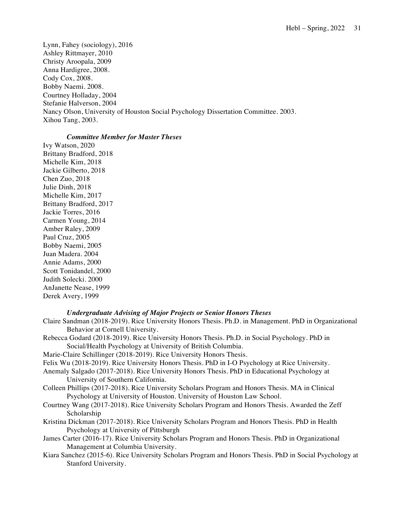Lynn, Fahey (sociology), 2016 Ashley Rittmayer, 2010 Christy Aroopala, 2009 Anna Hardigree, 2008. Cody Cox, 2008. Bobby Naemi. 2008. Courtney Holladay, 2004 Stefanie Halverson, 2004 Nancy Olson, University of Houston Social Psychology Dissertation Committee. 2003. Xihou Tang, 2003.

## *Committee Member for Master Theses*

 Ivy Watson, 2020 Brittany Bradford, 2018 Michelle Kim, 2018 Jackie Gilberto, 2018 Chen Zuo, 2018 Julie Dinh, 2018 Michelle Kim, 2017 Brittany Bradford, 2017 Jackie Torres, 2016 Carmen Young, 2014 Amber Raley, 2009 Paul Cruz, 2005 Bobby Naemi, 2005 Juan Madera. 2004 Annie Adams, 2000 Scott Tonidandel, 2000 Judith Solecki. 2000 AnJanette Nease, 1999 Derek Avery, 1999

# *Undergraduate Advising of Major Projects or Senior Honors Theses*

- Claire Sandman (2018-2019). Rice University Honors Thesis. Ph.D. in Management. PhD in Organizational Behavior at Cornell University.
- Rebecca Godard (2018-2019). Rice University Honors Thesis. Ph.D. in Social Psychology. PhD in Social/Health Psychology at University of British Columbia.
- Marie-Claire Schillinger (2018-2019). Rice University Honors Thesis.
- Felix Wu (2018-2019). Rice University Honors Thesis. PhD in I-O Psychology at Rice University.
- Anemaly Salgado (2017-2018). Rice University Honors Thesis. PhD in Educational Psychology at University of Southern California.
- Colleen Phillips (2017-2018). Rice University Scholars Program and Honors Thesis. MA in Clinical Psychology at University of Houston. University of Houston Law School.
- Courtney Wang (2017-2018). Rice University Scholars Program and Honors Thesis. Awarded the Zeff Scholarship
- Kristina Dickman (2017-2018). Rice University Scholars Program and Honors Thesis. PhD in Health Psychology at University of Pittsburgh
- James Carter (2016-17). Rice University Scholars Program and Honors Thesis. PhD in Organizational Management at Columbia University.
- Kiara Sanchez (2015-6). Rice University Scholars Program and Honors Thesis. PhD in Social Psychology at Stanford University.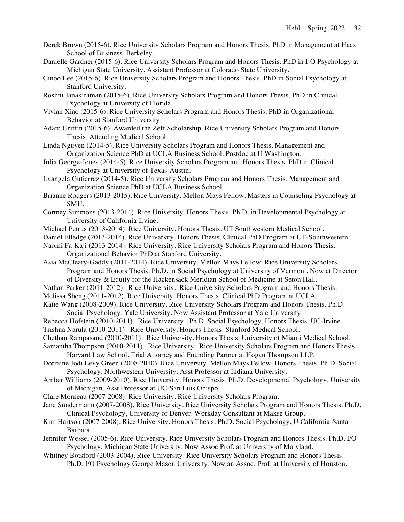- Derek Brown (2015-6). Rice University Scholars Program and Honors Thesis. PhD in Management at Haas School of Business, Berkeley.
- Danielle Gardner (2015-6). Rice University Scholars Program and Honors Thesis. PhD in I-O Psychology at Michigan State University. Assistant Professor at Colorado State University.
- Cinoo Lee (2015-6). Rice University Scholars Program and Honors Thesis. PhD in Social Psychology at Stanford University.
- Roshni Janakiraman (2015-6). Rice University Scholars Program and Honors Thesis. PhD in Clinical Psychology at University of Florida.
- Vivian Xiao (2015-6). Rice University Scholars Program and Honors Thesis. PhD in Organizational Behavior at Stanford University.
- Adam Griffin (2015-6). Awarded the Zeff Scholarship. Rice University Scholars Program and Honors Thesis. Attending Medical School.
- Linda Nguyen (2014-5). Rice University Scholars Program and Honors Thesis. Management and Organization Science PhD at UCLA Business School. Postdoc at U Washington.
- Julia George-Jones (2014-5). Rice University Scholars Program and Honors Thesis. PhD in Clinical Psychology at University of Texas-Austin.
- Lyangela Gutierrez (2014-5). Rice University Scholars Program and Honors Thesis. Management and Organization Science PhD at UCLA Business School.
- Brianne Rodgers (2013-2015). Rice University. Mellon Mays Fellow. Masters in Counseling Psychology at SMU.
- Cortney Simmons (2013-2014). Rice University. Honors Thesis. Ph.D. in Developmental Psychology at University of California-Irvine.
- Michael Petrus (2013-2014). Rice University. Honors Thesis. UT Southwestern Medical School.
- Daniel Elledge (2013-2014). Rice University. Honors Thesis. Clinical PhD Program at UT-Southwestern.
- Naomi Fa-Kaji (2013-2014). Rice University. Rice University Scholars Program and Honors Thesis. Organizational Behavior PhD at Stanford University.
- Asia McCleary-Gaddy (2011-2014). Rice University. Mellon Mays Fellow. Rice University Scholars Program and Honors Thesis. Ph.D. in Social Psychology at University of Vermont. Now at Director of Diversity & Equity for the Hackensack Meridian School of Medicine at Seton Hall.
- Nathan Parker (2011-2012). Rice University. Rice University Scholars Program and Honors Thesis.
- Melissa Sheng (2011-2012). Rice University. Honors Thesis. Clinical PhD Program at UCLA.
- Katie Wang (2008-2009). Rice University. Rice University Scholars Program and Honors Thesis. Ph.D. Social Psychology. Yale University. Now Assistant Professor at Yale University.
- Rebecca Hofstein (2010-2011). Rice University. Ph.D. Social Psychology. Honors Thesis. UC-Irvine.
- Trishna Narula (2010-2011). Rice University. Honors Thesis. Stanford Medical School.
- Chethan Rampasand (2010-2011). Rice University. Honors Thesis. University of Miami Medical School.
- Samantha Thompson (2010-2011). Rice University. Rice University Scholars Program and Honors Thesis. Harvard Law School. Trial Attorney and Founding Partner at Hogan Thompson LLP.
- Dorraine Jodi Levy Green (2008-2010). Rice University. Mellon Mays Fellow. Honors Thesis. Ph.D. Social Psychology. Northwestern University. Asst Professor at Indiana University.
- Amber Williams (2009-2010). Rice University. Honors Thesis. Ph.D. Developmental Psychology. University of Michigan. Asst Professor at UC-San Luis Obispo
- Clare Morneau (2007-2008). Rice University. Rice University Scholars Program.
- Jane Sundermann (2007-2008). Rice University. Rice University Scholars Program and Honors Thesis. Ph.D. Clinical Psychology, University of Denver. Workday Consultant at Makse Group.
- Kim Hartson (2007-2008). Rice University. Honors Thesis. Ph.D. Social Psychology, U California-Santa Barbara.
- Jennifer Wessel (2005-6). Rice University. Rice University Scholars Program and Honors Thesis. Ph.D. I/O Psychology, Michigan State University. Now Assoc Prof. at University of Maryland.
- Whitney Botsford (2003-2004). Rice University. Rice University Scholars Program and Honors Thesis. Ph.D. I/O Psychology George Mason University. Now an Assoc. Prof. at University of Houston.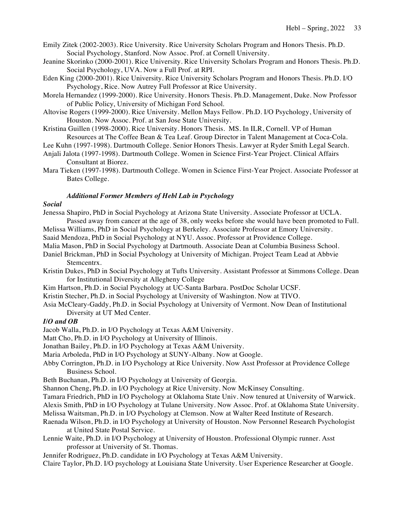Emily Zitek (2002-2003). Rice University. Rice University Scholars Program and Honors Thesis. Ph.D. Social Psychology, Stanford. Now Assoc. Prof. at Cornell University.

- Jeanine Skorinko (2000-2001). Rice University. Rice University Scholars Program and Honors Thesis. Ph.D. Social Psychology, UVA. Now a Full Prof. at RPI.
- Eden King (2000-2001). Rice University. Rice University Scholars Program and Honors Thesis. Ph.D. I/O Psychology, Rice. Now Autrey Full Professor at Rice University.
- Morela Hernandez (1999-2000). Rice University. Honors Thesis. Ph.D. Management, Duke. Now Professor of Public Policy, University of Michigan Ford School.
- Altovise Rogers (1999-2000). Rice University. Mellon Mays Fellow. Ph.D. I/O Psychology, University of Houston. Now Assoc. Prof. at San Jose State University.
- Kristina Guillen (1998-2000). Rice University. Honors Thesis. MS. In ILR, Cornell. VP of Human Resources at The Coffee Bean & Tea Leaf. Group Director in Talent Management at Coca-Cola.
- Lee Kuhn (1997-1998). Dartmouth College. Senior Honors Thesis. Lawyer at Ryder Smith Legal Search.
- Anjali Jalota (1997-1998). Dartmouth College. Women in Science First-Year Project. Clinical Affairs Consultant at Biorez.
- Mara Tieken (1997-1998). Dartmouth College. Women in Science First-Year Project. Associate Professor at Bates College.

# *Additional Former Members of Hebl Lab in Psychology*

### *Social*

Jenessa Shapiro, PhD in Social Psychology at Arizona State University. Associate Professor at UCLA.

 Passed away from cancer at the age of 38, only weeks before she would have been promoted to Full. Melissa Williams, PhD in Social Psychology at Berkeley. Associate Professor at Emory University.

Saaid Mendoza, PhD in Social Psychology at NYU. Assoc. Professor at Providence College.

- Malia Mason, PhD in Social Psychology at Dartmouth. Associate Dean at Columbia Business School.
- Daniel Brickman, PhD in Social Psychology at University of Michigan. Project Team Lead at Abbvie

Stemcentrx.

- Kristin Dukes, PhD in Social Psychology at Tufts University. Assistant Professor at Simmons College. Dean for Institutional Diversity at Allegheny College
- Kim Hartson, Ph.D. in Social Psychology at UC-Santa Barbara. PostDoc Scholar UCSF.
- Kristin Stecher, Ph.D. in Social Psychology at University of Washington. Now at TIVO.
- Asia McCleary-Gaddy, Ph.D. in Social Psychology at University of Vermont. Now Dean of Institutional Diversity at UT Med Center.

## *I/O and OB*

Jacob Walla, Ph.D. in I/O Psychology at Texas A&M University.

Matt Cho, Ph.D. in I/O Psychology at University of Illinois.

Jonathan Bailey, Ph.D. in I/O Psychology at Texas A&M University.

Maria Arboleda, PhD in I/O Psychology at SUNY-Albany. Now at Google.

 Abby Corrington, Ph.D. in I/O Psychology at Rice University. Now Asst Professor at Providence College Business School.

Beth Buchanan, Ph.D. in I/O Psychology at University of Georgia.

Shannon Cheng, Ph.D. in I/O Psychology at Rice University. Now McKinsey Consulting.

Tamara Friedrich, PhD in I/O Psychology at Oklahoma State Univ. Now tenured at University of Warwick.

Alexis Smith, PhD in I/O Psychology at Tulane University. Now Assoc. Prof. at Oklahoma State University.

- Melissa Waitsman, Ph.D. in I/O Psychology at Clemson. Now at Walter Reed Institute of Research.
- Raenada Wilson, Ph.D. in I/O Psychology at University of Houston. Now Personnel Research Psychologist at United State Postal Service.
- Lennie Waite, Ph.D. in I/O Psychology at University of Houston. Professional Olympic runner. Asst professor at University of St. Thomas.
- Jennifer Rodriguez, Ph.D. candidate in I/O Psychology at Texas A&M University.

Claire Taylor, Ph.D. I/O psychology at Louisiana State University. User Experience Researcher at Google.